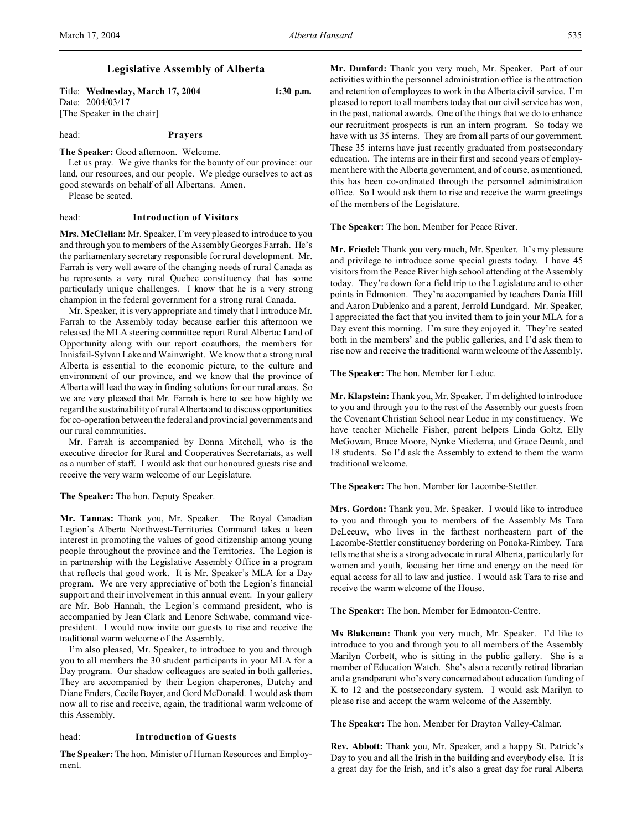# **Legislative Assembly of Alberta**

Title: **Wednesday, March 17, 2004 1:30 p.m.** Date: 2004/03/17

[The Speaker in the chair]

## head: **Prayers**

#### **The Speaker:** Good afternoon. Welcome.

Let us pray. We give thanks for the bounty of our province: our land, our resources, and our people. We pledge ourselves to act as good stewards on behalf of all Albertans. Amen.

Please be seated.

#### head: **Introduction of Visitors**

**Mrs. McClellan:** Mr. Speaker, I'm very pleased to introduce to you and through you to members of the Assembly Georges Farrah. He's the parliamentary secretary responsible for rural development. Mr. Farrah is very well aware of the changing needs of rural Canada as he represents a very rural Quebec constituency that has some particularly unique challenges. I know that he is a very strong champion in the federal government for a strong rural Canada.

Mr. Speaker, it is very appropriate and timely that I introduce Mr. Farrah to the Assembly today because earlier this afternoon we released the MLA steering committee report Rural Alberta: Land of Opportunity along with our report coauthors, the members for Innisfail-Sylvan Lake and Wainwright. We know that a strong rural Alberta is essential to the economic picture, to the culture and environment of our province, and we know that the province of Alberta will lead the way in finding solutions for our rural areas. So we are very pleased that Mr. Farrah is here to see how highly we regard the sustainability of rural Alberta and to discuss opportunities for co-operation between the federal and provincial governments and our rural communities.

Mr. Farrah is accompanied by Donna Mitchell, who is the executive director for Rural and Cooperatives Secretariats, as well as a number of staff. I would ask that our honoured guests rise and receive the very warm welcome of our Legislature.

#### **The Speaker:** The hon. Deputy Speaker.

**Mr. Tannas:** Thank you, Mr. Speaker. The Royal Canadian Legion's Alberta Northwest-Territories Command takes a keen interest in promoting the values of good citizenship among young people throughout the province and the Territories. The Legion is in partnership with the Legislative Assembly Office in a program that reflects that good work. It is Mr. Speaker's MLA for a Day program. We are very appreciative of both the Legion's financial support and their involvement in this annual event. In your gallery are Mr. Bob Hannah, the Legion's command president, who is accompanied by Jean Clark and Lenore Schwabe, command vicepresident. I would now invite our guests to rise and receive the traditional warm welcome of the Assembly.

I'm also pleased, Mr. Speaker, to introduce to you and through you to all members the 30 student participants in your MLA for a Day program. Our shadow colleagues are seated in both galleries. They are accompanied by their Legion chaperones, Dutchy and Diane Enders, Cecile Boyer, and Gord McDonald. I would ask them now all to rise and receive, again, the traditional warm welcome of this Assembly.

## head: **Introduction of Guests**

**The Speaker:** The hon. Minister of Human Resources and Employment.

**Mr. Dunford:** Thank you very much, Mr. Speaker. Part of our activities within the personnel administration office is the attraction and retention of employees to work in the Alberta civil service. I'm pleased to report to all members today that our civil service has won, in the past, national awards. One of the things that we do to enhance our recruitment prospects is run an intern program. So today we have with us 35 interns. They are from all parts of our government. These 35 interns have just recently graduated from postsecondary education. The interns are in their first and second years of employment here with the Alberta government, and of course, as mentioned, this has been co-ordinated through the personnel administration office. So I would ask them to rise and receive the warm greetings of the members of the Legislature.

**The Speaker:** The hon. Member for Peace River.

**Mr. Friedel:** Thank you very much, Mr. Speaker. It's my pleasure and privilege to introduce some special guests today. I have 45 visitors from the Peace River high school attending at the Assembly today. They're down for a field trip to the Legislature and to other points in Edmonton. They're accompanied by teachers Dania Hill and Aaron Dublenko and a parent, Jerrold Lundgard. Mr. Speaker, I appreciated the fact that you invited them to join your MLA for a Day event this morning. I'm sure they enjoyed it. They're seated both in the members' and the public galleries, and I'd ask them to rise now and receive the traditional warm welcome of the Assembly.

**The Speaker:** The hon. Member for Leduc.

**Mr. Klapstein:** Thank you, Mr. Speaker. I'm delighted to introduce to you and through you to the rest of the Assembly our guests from the Covenant Christian School near Leduc in my constituency. We have teacher Michelle Fisher, parent helpers Linda Goltz, Elly McGowan, Bruce Moore, Nynke Miedema, and Grace Deunk, and 18 students. So I'd ask the Assembly to extend to them the warm traditional welcome.

**The Speaker:** The hon. Member for Lacombe-Stettler.

**Mrs. Gordon:** Thank you, Mr. Speaker. I would like to introduce to you and through you to members of the Assembly Ms Tara DeLeeuw, who lives in the farthest northeastern part of the Lacombe-Stettler constituency bordering on Ponoka-Rimbey. Tara tells me that she is a strong advocate in rural Alberta, particularly for women and youth, focusing her time and energy on the need for equal access for all to law and justice. I would ask Tara to rise and receive the warm welcome of the House.

**The Speaker:** The hon. Member for Edmonton-Centre.

**Ms Blakeman:** Thank you very much, Mr. Speaker. I'd like to introduce to you and through you to all members of the Assembly Marilyn Corbett, who is sitting in the public gallery. She is a member of Education Watch. She's also a recently retired librarian and a grandparent who's very concerned about education funding of K to 12 and the postsecondary system. I would ask Marilyn to please rise and accept the warm welcome of the Assembly.

**The Speaker:** The hon. Member for Drayton Valley-Calmar.

**Rev. Abbott:** Thank you, Mr. Speaker, and a happy St. Patrick's Day to you and all the Irish in the building and everybody else. It is a great day for the Irish, and it's also a great day for rural Alberta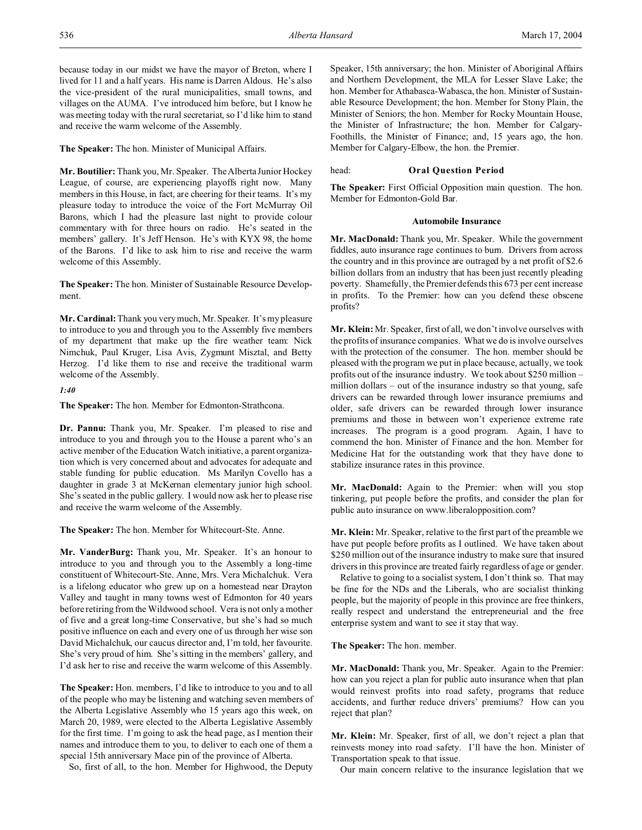because today in our midst we have the mayor of Breton, where I lived for 11 and a half years. His name is Darren Aldous. He's also the vice-president of the rural municipalities, small towns, and villages on the AUMA. I've introduced him before, but I know he was meeting today with the rural secretariat, so I'd like him to stand and receive the warm welcome of the Assembly.

**The Speaker:** The hon. Minister of Municipal Affairs.

**Mr. Boutilier:**Thank you, Mr. Speaker. The Alberta Junior Hockey League, of course, are experiencing playoffs right now. Many members in this House, in fact, are cheering for their teams. It's my pleasure today to introduce the voice of the Fort McMurray Oil Barons, which I had the pleasure last night to provide colour commentary with for three hours on radio. He's seated in the members' gallery. It's Jeff Henson. He's with KYX 98, the home of the Barons. I'd like to ask him to rise and receive the warm welcome of this Assembly.

**The Speaker:** The hon. Minister of Sustainable Resource Development.

**Mr. Cardinal:** Thank you very much, Mr. Speaker. It's my pleasure to introduce to you and through you to the Assembly five members of my department that make up the fire weather team: Nick Nimchuk, Paul Kruger, Lisa Avis, Zygmunt Misztal, and Betty Herzog. I'd like them to rise and receive the traditional warm welcome of the Assembly.

*1:40*

**The Speaker:** The hon. Member for Edmonton-Strathcona.

**Dr. Pannu:** Thank you, Mr. Speaker. I'm pleased to rise and introduce to you and through you to the House a parent who's an active member of the Education Watch initiative, a parent organization which is very concerned about and advocates for adequate and stable funding for public education. Ms Marilyn Covello has a daughter in grade 3 at McKernan elementary junior high school. She's seated in the public gallery. I would now ask her to please rise and receive the warm welcome of the Assembly.

**The Speaker:** The hon. Member for Whitecourt-Ste. Anne.

**Mr. VanderBurg:** Thank you, Mr. Speaker. It's an honour to introduce to you and through you to the Assembly a long-time constituent of Whitecourt-Ste. Anne, Mrs. Vera Michalchuk. Vera is a lifelong educator who grew up on a homestead near Drayton Valley and taught in many towns west of Edmonton for 40 years before retiring from the Wildwood school. Vera is not only a mother of five and a great long-time Conservative, but she's had so much positive influence on each and every one of us through her wise son David Michalchuk, our caucus director and, I'm told, her favourite. She's very proud of him. She's sitting in the members' gallery, and I'd ask her to rise and receive the warm welcome of this Assembly.

**The Speaker:** Hon. members, I'd like to introduce to you and to all of the people who may be listening and watching seven members of the Alberta Legislative Assembly who 15 years ago this week, on March 20, 1989, were elected to the Alberta Legislative Assembly for the first time. I'm going to ask the head page, as I mention their names and introduce them to you, to deliver to each one of them a special 15th anniversary Mace pin of the province of Alberta.

So, first of all, to the hon. Member for Highwood, the Deputy

Speaker, 15th anniversary; the hon. Minister of Aboriginal Affairs and Northern Development, the MLA for Lesser Slave Lake; the hon. Member for Athabasca-Wabasca, the hon. Minister of Sustainable Resource Development; the hon. Member for Stony Plain, the Minister of Seniors; the hon. Member for Rocky Mountain House, the Minister of Infrastructure; the hon. Member for Calgary-Foothills, the Minister of Finance; and, 15 years ago, the hon. Member for Calgary-Elbow, the hon. the Premier.

## head: **Oral Question Period**

**The Speaker:** First Official Opposition main question. The hon. Member for Edmonton-Gold Bar.

#### **Automobile Insurance**

**Mr. MacDonald:** Thank you, Mr. Speaker. While the government fiddles, auto insurance rage continues to burn. Drivers from across the country and in this province are outraged by a net profit of \$2.6 billion dollars from an industry that has been just recently pleading poverty. Shamefully, the Premier defends this 673 per cent increase in profits. To the Premier: how can you defend these obscene profits?

**Mr. Klein:** Mr. Speaker, first of all, we don't involve ourselves with the profits of insurance companies. What we do is involve ourselves with the protection of the consumer. The hon. member should be pleased with the program we put in place because, actually, we took profits out of the insurance industry. We took about \$250 million – million dollars – out of the insurance industry so that young, safe drivers can be rewarded through lower insurance premiums and older, safe drivers can be rewarded through lower insurance premiums and those in between won't experience extreme rate increases. The program is a good program. Again, I have to commend the hon. Minister of Finance and the hon. Member for Medicine Hat for the outstanding work that they have done to stabilize insurance rates in this province.

**Mr. MacDonald:** Again to the Premier: when will you stop tinkering, put people before the profits, and consider the plan for public auto insurance on www.liberalopposition.com?

**Mr. Klein:** Mr. Speaker, relative to the first part of the preamble we have put people before profits as I outlined. We have taken about \$250 million out of the insurance industry to make sure that insured drivers in this province are treated fairly regardless of age or gender.

Relative to going to a socialist system, I don't think so. That may be fine for the NDs and the Liberals, who are socialist thinking people, but the majority of people in this province are free thinkers, really respect and understand the entrepreneurial and the free enterprise system and want to see it stay that way.

**The Speaker:** The hon. member.

**Mr. MacDonald:** Thank you, Mr. Speaker. Again to the Premier: how can you reject a plan for public auto insurance when that plan would reinvest profits into road safety, programs that reduce accidents, and further reduce drivers' premiums? How can you reject that plan?

**Mr. Klein:** Mr. Speaker, first of all, we don't reject a plan that reinvests money into road safety. I'll have the hon. Minister of Transportation speak to that issue.

Our main concern relative to the insurance legislation that we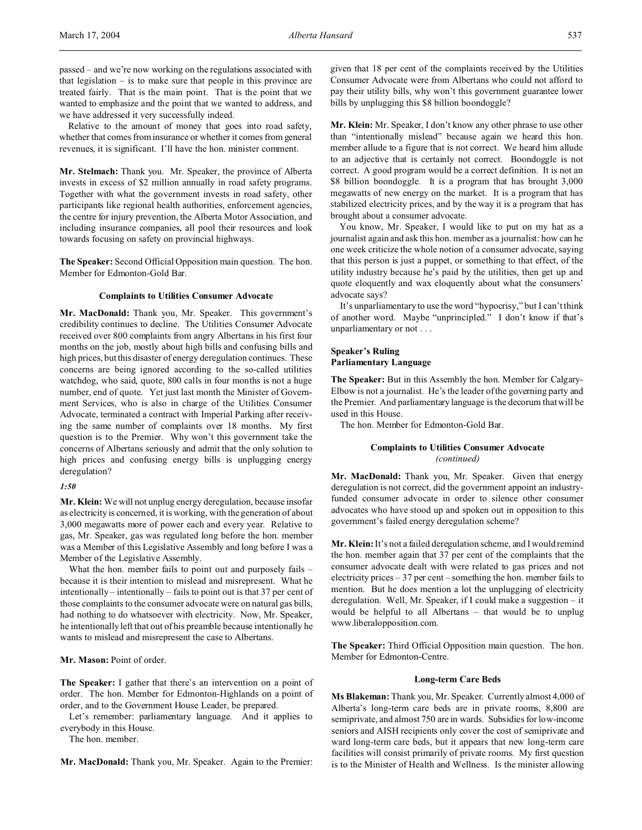passed – and we're now working on the regulations associated with that legislation – is to make sure that people in this province are treated fairly. That is the main point. That is the point that we wanted to emphasize and the point that we wanted to address, and we have addressed it very successfully indeed.

Relative to the amount of money that goes into road safety, whether that comes from insurance or whether it comes from general revenues, it is significant. I'll have the hon. minister comment.

**Mr. Stelmach:** Thank you. Mr. Speaker, the province of Alberta invests in excess of \$2 million annually in road safety programs. Together with what the government invests in road safety, other participants like regional health authorities, enforcement agencies, the centre for injury prevention, the Alberta Motor Association, and including insurance companies, all pool their resources and look towards focusing on safety on provincial highways.

**The Speaker:** Second Official Opposition main question. The hon. Member for Edmonton-Gold Bar.

## **Complaints to Utilities Consumer Advocate**

**Mr. MacDonald:** Thank you, Mr. Speaker. This government's credibility continues to decline. The Utilities Consumer Advocate received over 800 complaints from angry Albertans in his first four months on the job, mostly about high bills and confusing bills and high prices, but this disaster of energy deregulation continues. These concerns are being ignored according to the so-called utilities watchdog, who said, quote, 800 calls in four months is not a huge number, end of quote. Yet just last month the Minister of Government Services, who is also in charge of the Utilities Consumer Advocate, terminated a contract with Imperial Parking after receiving the same number of complaints over 18 months. My first question is to the Premier. Why won't this government take the concerns of Albertans seriously and admit that the only solution to high prices and confusing energy bills is unplugging energy deregulation?

## *1:50*

**Mr. Klein:** We will not unplug energy deregulation, because insofar as electricity is concerned, it is working, with the generation of about 3,000 megawatts more of power each and every year. Relative to gas, Mr. Speaker, gas was regulated long before the hon. member was a Member of this Legislative Assembly and long before I was a Member of the Legislative Assembly.

What the hon. member fails to point out and purposely fails because it is their intention to mislead and misrepresent. What he intentionally – intentionally – fails to point out is that 37 per cent of those complaints to the consumer advocate were on natural gas bills, had nothing to do whatsoever with electricity. Now, Mr. Speaker, he intentionally left that out of his preamble because intentionally he wants to mislead and misrepresent the case to Albertans.

#### **Mr. Mason:** Point of order.

**The Speaker:** I gather that there's an intervention on a point of order. The hon. Member for Edmonton-Highlands on a point of order, and to the Government House Leader, be prepared.

Let's remember: parliamentary language. And it applies to everybody in this House.

The hon. member.

**Mr. MacDonald:** Thank you, Mr. Speaker. Again to the Premier:

given that 18 per cent of the complaints received by the Utilities Consumer Advocate were from Albertans who could not afford to pay their utility bills, why won't this government guarantee lower bills by unplugging this \$8 billion boondoggle?

**Mr. Klein:** Mr. Speaker, I don't know any other phrase to use other than "intentionally mislead" because again we heard this hon. member allude to a figure that is not correct. We heard him allude to an adjective that is certainly not correct. Boondoggle is not correct. A good program would be a correct definition. It is not an \$8 billion boondoggle. It is a program that has brought 3,000 megawatts of new energy on the market. It is a program that has stabilized electricity prices, and by the way it is a program that has brought about a consumer advocate.

You know, Mr. Speaker, I would like to put on my hat as a journalist again and ask this hon. member as a journalist: how can he one week criticize the whole notion of a consumer advocate, saying that this person is just a puppet, or something to that effect, of the utility industry because he's paid by the utilities, then get up and quote eloquently and wax eloquently about what the consumers' advocate says?

It's unparliamentary to use the word "hypocrisy," but I can't think of another word. Maybe "unprincipled." I don't know if that's unparliamentary or not . . .

# **Speaker's Ruling Parliamentary Language**

**The Speaker:** But in this Assembly the hon. Member for Calgary-Elbow is not a journalist. He's the leader of the governing party and the Premier. And parliamentary language is the decorum that will be used in this House.

The hon. Member for Edmonton-Gold Bar.

## **Complaints to Utilities Consumer Advocate** *(continued)*

**Mr. MacDonald:** Thank you, Mr. Speaker. Given that energy deregulation is not correct, did the government appoint an industryfunded consumer advocate in order to silence other consumer advocates who have stood up and spoken out in opposition to this government's failed energy deregulation scheme?

**Mr. Klein:** It's not a failed deregulation scheme, and I would remind the hon. member again that 37 per cent of the complaints that the consumer advocate dealt with were related to gas prices and not electricity prices – 37 per cent – something the hon. member fails to mention. But he does mention a lot the unplugging of electricity deregulation. Well, Mr. Speaker, if I could make a suggestion – it would be helpful to all Albertans – that would be to unplug www.liberalopposition.com.

**The Speaker:** Third Official Opposition main question. The hon. Member for Edmonton-Centre.

#### **Long-term Care Beds**

**Ms Blakeman:** Thank you, Mr. Speaker. Currently almost 4,000 of Alberta's long-term care beds are in private rooms, 8,800 are semiprivate, and almost 750 are in wards. Subsidies for low-income seniors and AISH recipients only cover the cost of semiprivate and ward long-term care beds, but it appears that new long-term care facilities will consist primarily of private rooms. My first question is to the Minister of Health and Wellness. Is the minister allowing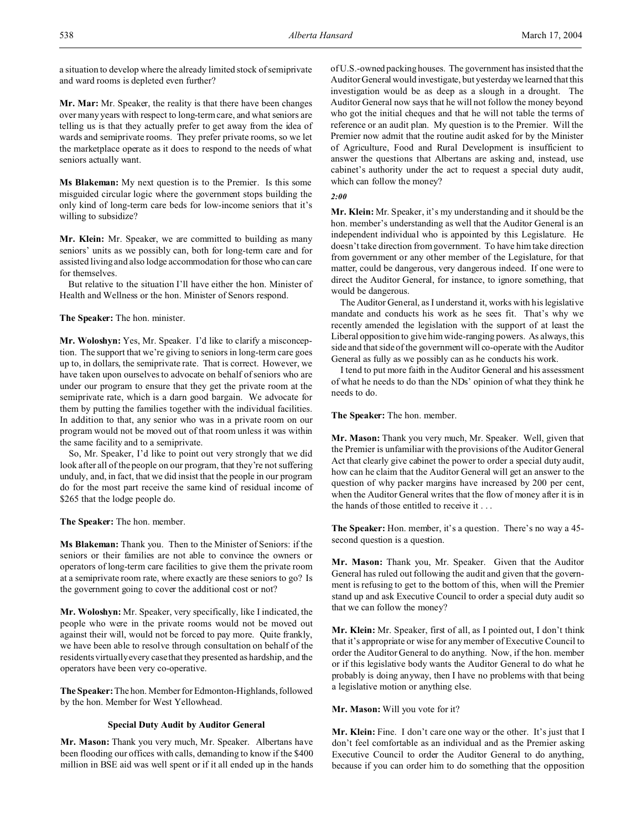a situation to develop where the already limited stock of semiprivate and ward rooms is depleted even further?

**Mr. Mar:** Mr. Speaker, the reality is that there have been changes over many years with respect to long-term care, and what seniors are telling us is that they actually prefer to get away from the idea of wards and semiprivate rooms. They prefer private rooms, so we let the marketplace operate as it does to respond to the needs of what seniors actually want.

**Ms Blakeman:** My next question is to the Premier. Is this some misguided circular logic where the government stops building the only kind of long-term care beds for low-income seniors that it's willing to subsidize?

**Mr. Klein:** Mr. Speaker, we are committed to building as many seniors' units as we possibly can, both for long-term care and for assisted living and also lodge accommodation for those who can care for themselves.

But relative to the situation I'll have either the hon. Minister of Health and Wellness or the hon. Minister of Senors respond.

## **The Speaker:** The hon. minister.

**Mr. Woloshyn:** Yes, Mr. Speaker. I'd like to clarify a misconception. The support that we're giving to seniors in long-term care goes up to, in dollars, the semiprivate rate. That is correct. However, we have taken upon ourselves to advocate on behalf of seniors who are under our program to ensure that they get the private room at the semiprivate rate, which is a darn good bargain. We advocate for them by putting the families together with the individual facilities. In addition to that, any senior who was in a private room on our program would not be moved out of that room unless it was within the same facility and to a semiprivate.

So, Mr. Speaker, I'd like to point out very strongly that we did look after all of the people on our program, that they're not suffering unduly, and, in fact, that we did insist that the people in our program do for the most part receive the same kind of residual income of \$265 that the lodge people do.

#### **The Speaker:** The hon. member.

**Ms Blakeman:** Thank you. Then to the Minister of Seniors: if the seniors or their families are not able to convince the owners or operators of long-term care facilities to give them the private room at a semiprivate room rate, where exactly are these seniors to go? Is the government going to cover the additional cost or not?

**Mr. Woloshyn:** Mr. Speaker, very specifically, like I indicated, the people who were in the private rooms would not be moved out against their will, would not be forced to pay more. Quite frankly, we have been able to resolve through consultation on behalf of the residents virtually every case that they presented as hardship, and the operators have been very co-operative.

**The Speaker:** The hon. Member for Edmonton-Highlands, followed by the hon. Member for West Yellowhead.

#### **Special Duty Audit by Auditor General**

**Mr. Mason:** Thank you very much, Mr. Speaker. Albertans have been flooding our offices with calls, demanding to know if the \$400 million in BSE aid was well spent or if it all ended up in the hands of U.S.-owned packing houses. The government has insisted that the Auditor General would investigate, but yesterdaywe learned that this investigation would be as deep as a slough in a drought. The Auditor General now says that he will not follow the money beyond who got the initial cheques and that he will not table the terms of reference or an audit plan. My question is to the Premier. Will the Premier now admit that the routine audit asked for by the Minister of Agriculture, Food and Rural Development is insufficient to answer the questions that Albertans are asking and, instead, use cabinet's authority under the act to request a special duty audit, which can follow the money?

## *2:00*

**Mr. Klein:** Mr. Speaker, it's my understanding and it should be the hon. member's understanding as well that the Auditor General is an independent individual who is appointed by this Legislature. He doesn't take direction from government. To have him take direction from government or any other member of the Legislature, for that matter, could be dangerous, very dangerous indeed. If one were to direct the Auditor General, for instance, to ignore something, that would be dangerous.

The Auditor General, as I understand it, works with his legislative mandate and conducts his work as he sees fit. That's why we recently amended the legislation with the support of at least the Liberal opposition to give him wide-ranging powers. As always, this side and that side of the government will co-operate with the Auditor General as fully as we possibly can as he conducts his work.

I tend to put more faith in the Auditor General and his assessment of what he needs to do than the NDs' opinion of what they think he needs to do.

**The Speaker:** The hon. member.

**Mr. Mason:** Thank you very much, Mr. Speaker. Well, given that the Premier is unfamiliar with the provisions of the Auditor General Act that clearly give cabinet the power to order a special duty audit, how can he claim that the Auditor General will get an answer to the question of why packer margins have increased by 200 per cent, when the Auditor General writes that the flow of money after it is in the hands of those entitled to receive it . . .

**The Speaker:** Hon. member, it's a question. There's no way a 45 second question is a question.

**Mr. Mason:** Thank you, Mr. Speaker. Given that the Auditor General has ruled out following the audit and given that the government is refusing to get to the bottom of this, when will the Premier stand up and ask Executive Council to order a special duty audit so that we can follow the money?

**Mr. Klein:** Mr. Speaker, first of all, as I pointed out, I don't think that it's appropriate or wise for any member of Executive Council to order the Auditor General to do anything. Now, if the hon. member or if this legislative body wants the Auditor General to do what he probably is doing anyway, then I have no problems with that being a legislative motion or anything else.

**Mr. Mason:** Will you vote for it?

**Mr. Klein:** Fine. I don't care one way or the other. It's just that I don't feel comfortable as an individual and as the Premier asking Executive Council to order the Auditor General to do anything, because if you can order him to do something that the opposition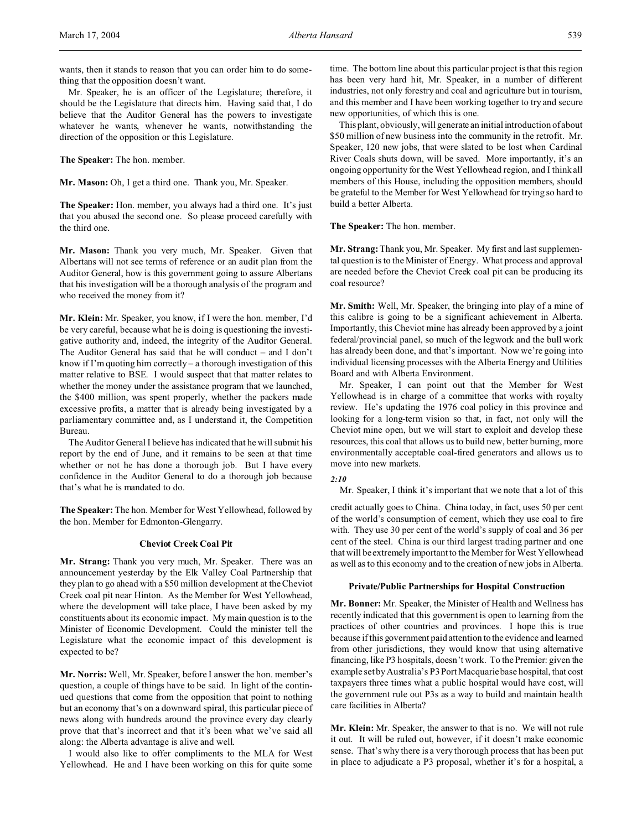wants, then it stands to reason that you can order him to do something that the opposition doesn't want.

Mr. Speaker, he is an officer of the Legislature; therefore, it should be the Legislature that directs him. Having said that, I do believe that the Auditor General has the powers to investigate whatever he wants, whenever he wants, notwithstanding the direction of the opposition or this Legislature.

**The Speaker:** The hon. member.

**Mr. Mason:** Oh, I get a third one. Thank you, Mr. Speaker.

**The Speaker:** Hon. member, you always had a third one. It's just that you abused the second one. So please proceed carefully with the third one.

**Mr. Mason:** Thank you very much, Mr. Speaker. Given that Albertans will not see terms of reference or an audit plan from the Auditor General, how is this government going to assure Albertans that his investigation will be a thorough analysis of the program and who received the money from it?

**Mr. Klein:** Mr. Speaker, you know, if I were the hon. member, I'd be very careful, because what he is doing is questioning the investigative authority and, indeed, the integrity of the Auditor General. The Auditor General has said that he will conduct – and I don't know if I'm quoting him correctly – a thorough investigation of this matter relative to BSE. I would suspect that that matter relates to whether the money under the assistance program that we launched, the \$400 million, was spent properly, whether the packers made excessive profits, a matter that is already being investigated by a parliamentary committee and, as I understand it, the Competition Bureau.

The Auditor General I believe has indicated that he will submit his report by the end of June, and it remains to be seen at that time whether or not he has done a thorough job. But I have every confidence in the Auditor General to do a thorough job because that's what he is mandated to do.

**The Speaker:** The hon. Member for West Yellowhead, followed by the hon. Member for Edmonton-Glengarry.

#### **Cheviot Creek Coal Pit**

**Mr. Strang:** Thank you very much, Mr. Speaker. There was an announcement yesterday by the Elk Valley Coal Partnership that they plan to go ahead with a \$50 million development at the Cheviot Creek coal pit near Hinton. As the Member for West Yellowhead, where the development will take place, I have been asked by my constituents about its economic impact. My main question is to the Minister of Economic Development. Could the minister tell the Legislature what the economic impact of this development is expected to be?

**Mr. Norris:** Well, Mr. Speaker, before I answer the hon. member's question, a couple of things have to be said. In light of the continued questions that come from the opposition that point to nothing but an economy that's on a downward spiral, this particular piece of news along with hundreds around the province every day clearly prove that that's incorrect and that it's been what we've said all along: the Alberta advantage is alive and well.

I would also like to offer compliments to the MLA for West Yellowhead. He and I have been working on this for quite some

time. The bottom line about this particular project is that this region has been very hard hit, Mr. Speaker, in a number of different industries, not only forestry and coal and agriculture but in tourism, and this member and I have been working together to try and secure new opportunities, of which this is one.

This plant, obviously, will generate an initial introduction of about \$50 million of new business into the community in the retrofit. Mr. Speaker, 120 new jobs, that were slated to be lost when Cardinal River Coals shuts down, will be saved. More importantly, it's an ongoing opportunity for the West Yellowhead region, and I think all members of this House, including the opposition members, should be grateful to the Member for West Yellowhead for trying so hard to build a better Alberta.

**The Speaker:** The hon. member.

**Mr. Strang:**Thank you, Mr. Speaker. My first and last supplemental question is to the Minister of Energy. What process and approval are needed before the Cheviot Creek coal pit can be producing its coal resource?

**Mr. Smith:** Well, Mr. Speaker, the bringing into play of a mine of this calibre is going to be a significant achievement in Alberta. Importantly, this Cheviot mine has already been approved by a joint federal/provincial panel, so much of the legwork and the bull work has already been done, and that's important. Now we're going into individual licensing processes with the Alberta Energy and Utilities Board and with Alberta Environment.

Mr. Speaker, I can point out that the Member for West Yellowhead is in charge of a committee that works with royalty review. He's updating the 1976 coal policy in this province and looking for a long-term vision so that, in fact, not only will the Cheviot mine open, but we will start to exploit and develop these resources, this coal that allows us to build new, better burning, more environmentally acceptable coal-fired generators and allows us to move into new markets.

# *2:10*

Mr. Speaker, I think it's important that we note that a lot of this

credit actually goes to China. China today, in fact, uses 50 per cent of the world's consumption of cement, which they use coal to fire with. They use 30 per cent of the world's supply of coal and 36 per cent of the steel. China is our third largest trading partner and one that will be extremely important to the Member for West Yellowhead as well as to this economy and to the creation of new jobs in Alberta.

## **Private/Public Partnerships for Hospital Construction**

**Mr. Bonner:** Mr. Speaker, the Minister of Health and Wellness has recently indicated that this government is open to learning from the practices of other countries and provinces. I hope this is true because if this government paid attention to the evidence and learned from other jurisdictions, they would know that using alternative financing, like P3 hospitals, doesn't work. To the Premier: given the example set by Australia's P3 Port Macquarie base hospital, that cost taxpayers three times what a public hospital would have cost, will the government rule out P3s as a way to build and maintain health care facilities in Alberta?

**Mr. Klein:** Mr. Speaker, the answer to that is no. We will not rule it out. It will be ruled out, however, if it doesn't make economic sense. That's why there is a very thorough process that has been put in place to adjudicate a P3 proposal, whether it's for a hospital, a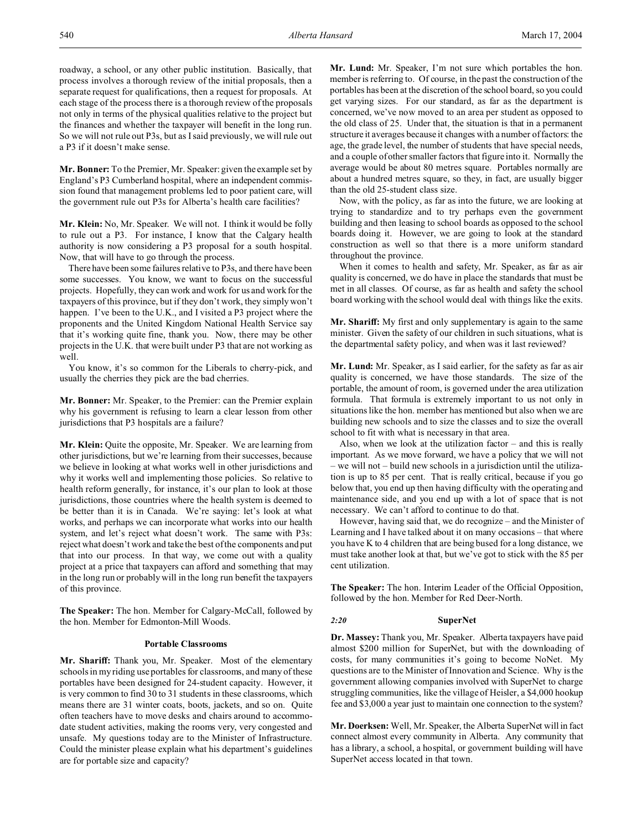roadway, a school, or any other public institution. Basically, that process involves a thorough review of the initial proposals, then a separate request for qualifications, then a request for proposals. At each stage of the process there is a thorough review of the proposals not only in terms of the physical qualities relative to the project but the finances and whether the taxpayer will benefit in the long run. So we will not rule out P3s, but as I said previously, we will rule out a P3 if it doesn't make sense.

**Mr. Bonner:** To the Premier, Mr. Speaker: given the example set by England's P3 Cumberland hospital, where an independent commission found that management problems led to poor patient care, will the government rule out P3s for Alberta's health care facilities?

**Mr. Klein:** No, Mr. Speaker. We will not. I think it would be folly to rule out a P3. For instance, I know that the Calgary health authority is now considering a P3 proposal for a south hospital. Now, that will have to go through the process.

There have been some failures relative to P3s, and there have been some successes. You know, we want to focus on the successful projects. Hopefully, they can work and work for us and work for the taxpayers of this province, but if they don't work, they simply won't happen. I've been to the U.K., and I visited a P3 project where the proponents and the United Kingdom National Health Service say that it's working quite fine, thank you. Now, there may be other projects in the U.K. that were built under P3 that are not working as well.

You know, it's so common for the Liberals to cherry-pick, and usually the cherries they pick are the bad cherries.

**Mr. Bonner:** Mr. Speaker, to the Premier: can the Premier explain why his government is refusing to learn a clear lesson from other jurisdictions that P3 hospitals are a failure?

**Mr. Klein:** Quite the opposite, Mr. Speaker. We are learning from other jurisdictions, but we're learning from their successes, because we believe in looking at what works well in other jurisdictions and why it works well and implementing those policies. So relative to health reform generally, for instance, it's our plan to look at those jurisdictions, those countries where the health system is deemed to be better than it is in Canada. We're saying: let's look at what works, and perhaps we can incorporate what works into our health system, and let's reject what doesn't work. The same with P3s: reject what doesn't work and take the best of the components and put that into our process. In that way, we come out with a quality project at a price that taxpayers can afford and something that may in the long run or probably will in the long run benefit the taxpayers of this province.

**The Speaker:** The hon. Member for Calgary-McCall, followed by the hon. Member for Edmonton-Mill Woods.

#### **Portable Classrooms**

**Mr. Shariff:** Thank you, Mr. Speaker. Most of the elementary schools in my riding use portables for classrooms, and many of these portables have been designed for 24-student capacity. However, it is very common to find 30 to 31 students in these classrooms, which means there are 31 winter coats, boots, jackets, and so on. Quite often teachers have to move desks and chairs around to accommodate student activities, making the rooms very, very congested and unsafe. My questions today are to the Minister of Infrastructure. Could the minister please explain what his department's guidelines are for portable size and capacity?

**Mr. Lund:** Mr. Speaker, I'm not sure which portables the hon. member is referring to. Of course, in the past the construction of the portables has been at the discretion of the school board, so you could get varying sizes. For our standard, as far as the department is concerned, we've now moved to an area per student as opposed to the old class of 25. Under that, the situation is that in a permanent structure it averages because it changes with a number of factors: the age, the grade level, the number of students that have special needs, and a couple of other smaller factors that figure into it. Normally the average would be about 80 metres square. Portables normally are about a hundred metres square, so they, in fact, are usually bigger than the old 25-student class size.

Now, with the policy, as far as into the future, we are looking at trying to standardize and to try perhaps even the government building and then leasing to school boards as opposed to the school boards doing it. However, we are going to look at the standard construction as well so that there is a more uniform standard throughout the province.

When it comes to health and safety, Mr. Speaker, as far as air quality is concerned, we do have in place the standards that must be met in all classes. Of course, as far as health and safety the school board working with the school would deal with things like the exits.

**Mr. Shariff:** My first and only supplementary is again to the same minister. Given the safety of our children in such situations, what is the departmental safety policy, and when was it last reviewed?

**Mr. Lund:** Mr. Speaker, as I said earlier, for the safety as far as air quality is concerned, we have those standards. The size of the portable, the amount of room, is governed under the area utilization formula. That formula is extremely important to us not only in situations like the hon. member has mentioned but also when we are building new schools and to size the classes and to size the overall school to fit with what is necessary in that area.

Also, when we look at the utilization factor – and this is really important. As we move forward, we have a policy that we will not – we will not – build new schools in a jurisdiction until the utilization is up to 85 per cent. That is really critical, because if you go below that, you end up then having difficulty with the operating and maintenance side, and you end up with a lot of space that is not necessary. We can't afford to continue to do that.

However, having said that, we do recognize – and the Minister of Learning and I have talked about it on many occasions – that where you have K to 4 children that are being bused for a long distance, we must take another look at that, but we've got to stick with the 85 per cent utilization.

**The Speaker:** The hon. Interim Leader of the Official Opposition, followed by the hon. Member for Red Deer-North.

## *2:20* **SuperNet**

**Dr. Massey:** Thank you, Mr. Speaker. Alberta taxpayers have paid almost \$200 million for SuperNet, but with the downloading of costs, for many communities it's going to become NoNet. My questions are to the Minister of Innovation and Science. Why is the government allowing companies involved with SuperNet to charge struggling communities, like the village of Heisler, a \$4,000 hookup fee and \$3,000 a year just to maintain one connection to the system?

**Mr. Doerksen:** Well, Mr. Speaker, the Alberta SuperNet will in fact connect almost every community in Alberta. Any community that has a library, a school, a hospital, or government building will have SuperNet access located in that town.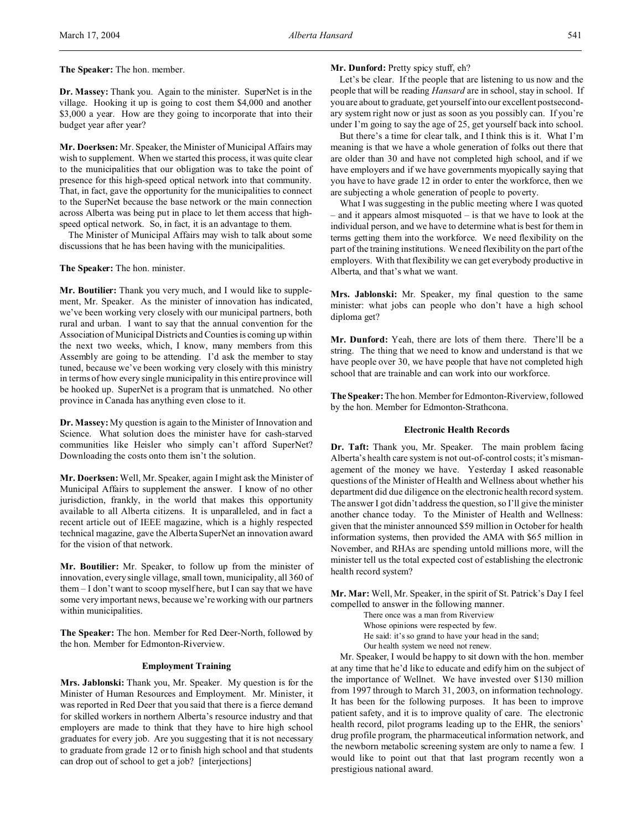**Dr. Massey:** Thank you. Again to the minister. SuperNet is in the village. Hooking it up is going to cost them \$4,000 and another \$3,000 a year. How are they going to incorporate that into their budget year after year?

**Mr. Doerksen:** Mr. Speaker, the Minister of Municipal Affairs may wish to supplement. When we started this process, it was quite clear to the municipalities that our obligation was to take the point of presence for this high-speed optical network into that community. That, in fact, gave the opportunity for the municipalities to connect to the SuperNet because the base network or the main connection across Alberta was being put in place to let them access that highspeed optical network. So, in fact, it is an advantage to them.

The Minister of Municipal Affairs may wish to talk about some discussions that he has been having with the municipalities.

#### **The Speaker:** The hon. minister.

**Mr. Boutilier:** Thank you very much, and I would like to supplement, Mr. Speaker. As the minister of innovation has indicated, we've been working very closely with our municipal partners, both rural and urban. I want to say that the annual convention for the Association of Municipal Districts and Counties is coming up within the next two weeks, which, I know, many members from this Assembly are going to be attending. I'd ask the member to stay tuned, because we've been working very closely with this ministry in terms of how every single municipality in this entire province will be hooked up. SuperNet is a program that is unmatched. No other province in Canada has anything even close to it.

**Dr. Massey:** My question is again to the Minister of Innovation and Science. What solution does the minister have for cash-starved communities like Heisler who simply can't afford SuperNet? Downloading the costs onto them isn't the solution.

**Mr. Doerksen:** Well, Mr. Speaker, again I might ask the Minister of Municipal Affairs to supplement the answer. I know of no other jurisdiction, frankly, in the world that makes this opportunity available to all Alberta citizens. It is unparalleled, and in fact a recent article out of IEEE magazine, which is a highly respected technical magazine, gave the Alberta SuperNet an innovation award for the vision of that network.

**Mr. Boutilier:** Mr. Speaker, to follow up from the minister of innovation, every single village, small town, municipality, all 360 of them – I don't want to scoop myself here, but I can say that we have some very important news, because we're working with our partners within municipalities.

**The Speaker:** The hon. Member for Red Deer-North, followed by the hon. Member for Edmonton-Riverview.

#### **Employment Training**

**Mrs. Jablonski:** Thank you, Mr. Speaker. My question is for the Minister of Human Resources and Employment. Mr. Minister, it was reported in Red Deer that you said that there is a fierce demand for skilled workers in northern Alberta's resource industry and that employers are made to think that they have to hire high school graduates for every job. Are you suggesting that it is not necessary to graduate from grade 12 or to finish high school and that students can drop out of school to get a job? [interjections]

## **Mr. Dunford:** Pretty spicy stuff, eh?

Let's be clear. If the people that are listening to us now and the people that will be reading *Hansard* are in school, stay in school. If you are about to graduate, get yourself into our excellent postsecondary system right now or just as soon as you possibly can. If you're under I'm going to say the age of 25, get yourself back into school.

But there's a time for clear talk, and I think this is it. What I'm meaning is that we have a whole generation of folks out there that are older than 30 and have not completed high school, and if we have employers and if we have governments myopically saying that you have to have grade 12 in order to enter the workforce, then we are subjecting a whole generation of people to poverty.

What I was suggesting in the public meeting where I was quoted – and it appears almost misquoted – is that we have to look at the individual person, and we have to determine what is best for them in terms getting them into the workforce. We need flexibility on the part of the training institutions. We need flexibility on the part of the employers. With that flexibility we can get everybody productive in Alberta, and that's what we want.

**Mrs. Jablonski:** Mr. Speaker, my final question to the same minister: what jobs can people who don't have a high school diploma get?

**Mr. Dunford:** Yeah, there are lots of them there. There'll be a string. The thing that we need to know and understand is that we have people over 30, we have people that have not completed high school that are trainable and can work into our workforce.

**The Speaker:** The hon. Member for Edmonton-Riverview, followed by the hon. Member for Edmonton-Strathcona.

#### **Electronic Health Records**

**Dr. Taft:** Thank you, Mr. Speaker. The main problem facing Alberta's health care system is not out-of-control costs; it's mismanagement of the money we have. Yesterday I asked reasonable questions of the Minister of Health and Wellness about whether his department did due diligence on the electronic health record system. The answer I got didn't address the question, so I'll give the minister another chance today. To the Minister of Health and Wellness: given that the minister announced \$59 million in October for health information systems, then provided the AMA with \$65 million in November, and RHAs are spending untold millions more, will the minister tell us the total expected cost of establishing the electronic health record system?

**Mr. Mar:** Well, Mr. Speaker, in the spirit of St. Patrick's Day I feel compelled to answer in the following manner.

There once was a man from Riverview Whose opinions were respected by few. He said: it's so grand to have your head in the sand; Our health system we need not renew.

Mr. Speaker, I would be happy to sit down with the hon. member at any time that he'd like to educate and edify him on the subject of the importance of Wellnet. We have invested over \$130 million from 1997 through to March 31, 2003, on information technology. It has been for the following purposes. It has been to improve patient safety, and it is to improve quality of care. The electronic health record, pilot programs leading up to the EHR, the seniors' drug profile program, the pharmaceutical information network, and the newborn metabolic screening system are only to name a few. I would like to point out that that last program recently won a prestigious national award.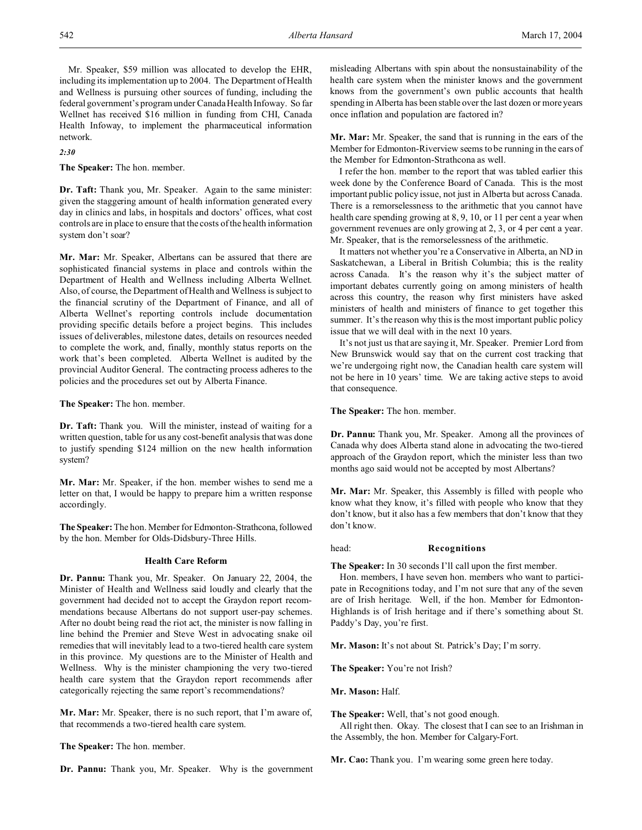Mr. Speaker, \$59 million was allocated to develop the EHR, including its implementation up to 2004. The Department of Health and Wellness is pursuing other sources of funding, including the federal government's program under Canada Health Infoway. So far Wellnet has received \$16 million in funding from CHI, Canada Health Infoway, to implement the pharmaceutical information network.

## *2:30*

**The Speaker:** The hon. member.

**Dr. Taft:** Thank you, Mr. Speaker. Again to the same minister: given the staggering amount of health information generated every day in clinics and labs, in hospitals and doctors' offices, what cost controls are in place to ensure that the costs of the health information system don't soar?

**Mr. Mar:** Mr. Speaker, Albertans can be assured that there are sophisticated financial systems in place and controls within the Department of Health and Wellness including Alberta Wellnet. Also, of course, the Department of Health and Wellness is subject to the financial scrutiny of the Department of Finance, and all of Alberta Wellnet's reporting controls include documentation providing specific details before a project begins. This includes issues of deliverables, milestone dates, details on resources needed to complete the work, and, finally, monthly status reports on the work that's been completed. Alberta Wellnet is audited by the provincial Auditor General. The contracting process adheres to the policies and the procedures set out by Alberta Finance.

**The Speaker:** The hon. member.

**Dr. Taft:** Thank you. Will the minister, instead of waiting for a written question, table for us any cost-benefit analysis that was done to justify spending \$124 million on the new health information system?

**Mr. Mar:** Mr. Speaker, if the hon. member wishes to send me a letter on that, I would be happy to prepare him a written response accordingly.

**The Speaker:** The hon. Member for Edmonton-Strathcona, followed by the hon. Member for Olds-Didsbury-Three Hills.

## **Health Care Reform**

**Dr. Pannu:** Thank you, Mr. Speaker. On January 22, 2004, the Minister of Health and Wellness said loudly and clearly that the government had decided not to accept the Graydon report recommendations because Albertans do not support user-pay schemes. After no doubt being read the riot act, the minister is now falling in line behind the Premier and Steve West in advocating snake oil remedies that will inevitably lead to a two-tiered health care system in this province. My questions are to the Minister of Health and Wellness. Why is the minister championing the very two-tiered health care system that the Graydon report recommends after categorically rejecting the same report's recommendations?

**Mr. Mar:** Mr. Speaker, there is no such report, that I'm aware of, that recommends a two-tiered health care system.

**The Speaker:** The hon. member.

**Dr. Pannu:** Thank you, Mr. Speaker. Why is the government

misleading Albertans with spin about the nonsustainability of the health care system when the minister knows and the government knows from the government's own public accounts that health spending in Alberta has been stable over the last dozen or more years once inflation and population are factored in?

**Mr. Mar:** Mr. Speaker, the sand that is running in the ears of the Member for Edmonton-Riverview seems to be running in the ears of the Member for Edmonton-Strathcona as well.

I refer the hon. member to the report that was tabled earlier this week done by the Conference Board of Canada. This is the most important public policy issue, not just in Alberta but across Canada. There is a remorselessness to the arithmetic that you cannot have health care spending growing at 8, 9, 10, or 11 per cent a year when government revenues are only growing at 2, 3, or 4 per cent a year. Mr. Speaker, that is the remorselessness of the arithmetic.

It matters not whether you're a Conservative in Alberta, an ND in Saskatchewan, a Liberal in British Columbia; this is the reality across Canada. It's the reason why it's the subject matter of important debates currently going on among ministers of health across this country, the reason why first ministers have asked ministers of health and ministers of finance to get together this summer. It's the reason why this is the most important public policy issue that we will deal with in the next 10 years.

It's not just us that are saying it, Mr. Speaker. Premier Lord from New Brunswick would say that on the current cost tracking that we're undergoing right now, the Canadian health care system will not be here in 10 years' time. We are taking active steps to avoid that consequence.

**The Speaker:** The hon. member.

**Dr. Pannu:** Thank you, Mr. Speaker. Among all the provinces of Canada why does Alberta stand alone in advocating the two-tiered approach of the Graydon report, which the minister less than two months ago said would not be accepted by most Albertans?

**Mr. Mar:** Mr. Speaker, this Assembly is filled with people who know what they know, it's filled with people who know that they don't know, but it also has a few members that don't know that they don't know.

#### head: **Recognitions**

**The Speaker:** In 30 seconds I'll call upon the first member.

Hon. members, I have seven hon. members who want to participate in Recognitions today, and I'm not sure that any of the seven are of Irish heritage. Well, if the hon. Member for Edmonton-Highlands is of Irish heritage and if there's something about St. Paddy's Day, you're first.

**Mr. Mason:** It's not about St. Patrick's Day; I'm sorry.

**The Speaker:** You're not Irish?

**Mr. Mason:** Half.

**The Speaker:** Well, that's not good enough.

All right then. Okay. The closest that I can see to an Irishman in the Assembly, the hon. Member for Calgary-Fort.

**Mr. Cao:** Thank you. I'm wearing some green here today.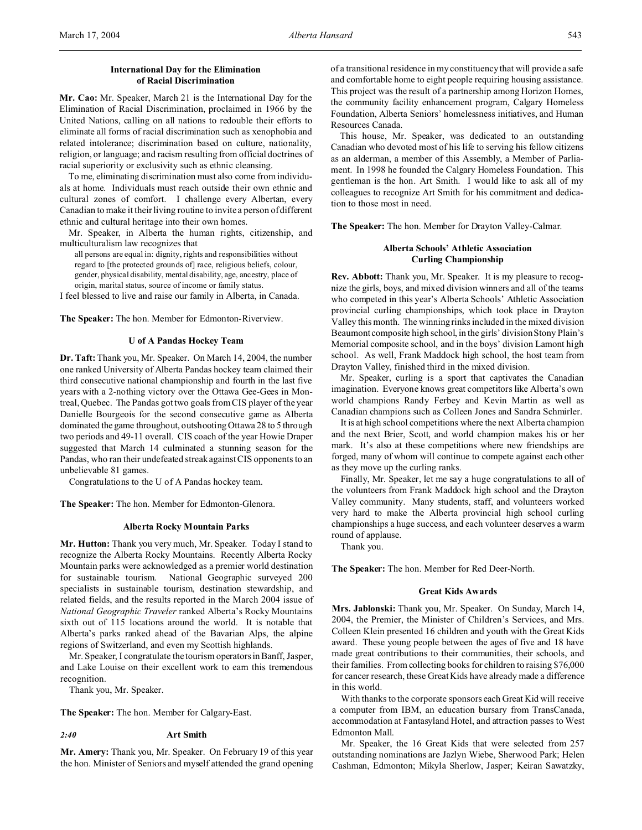# **International Day for the Elimination of Racial Discrimination**

**Mr. Cao:** Mr. Speaker, March 21 is the International Day for the Elimination of Racial Discrimination, proclaimed in 1966 by the United Nations, calling on all nations to redouble their efforts to eliminate all forms of racial discrimination such as xenophobia and related intolerance; discrimination based on culture, nationality, religion, or language; and racism resulting from official doctrines of racial superiority or exclusivity such as ethnic cleansing.

To me, eliminating discrimination must also come from individuals at home. Individuals must reach outside their own ethnic and cultural zones of comfort. I challenge every Albertan, every Canadian to make it their living routine to invite a person of different ethnic and cultural heritage into their own homes.

Mr. Speaker, in Alberta the human rights, citizenship, and multiculturalism law recognizes that

all persons are equal in: dignity, rights and responsibilities without regard to [the protected grounds of] race, religious beliefs, colour, gender, physical disability, mental disability, age, ancestry, place of origin, marital status, source of income or family status.

I feel blessed to live and raise our family in Alberta, in Canada.

**The Speaker:** The hon. Member for Edmonton-Riverview.

#### **U of A Pandas Hockey Team**

**Dr. Taft:** Thank you, Mr. Speaker. On March 14, 2004, the number one ranked University of Alberta Pandas hockey team claimed their third consecutive national championship and fourth in the last five years with a 2-nothing victory over the Ottawa Gee-Gees in Montreal, Quebec. The Pandas got two goals from CIS player of the year Danielle Bourgeois for the second consecutive game as Alberta dominated the game throughout, outshooting Ottawa 28 to 5 through two periods and 49-11 overall. CIS coach of the year Howie Draper suggested that March 14 culminated a stunning season for the Pandas, who ran their undefeated streak against CIS opponents to an unbelievable 81 games.

Congratulations to the U of A Pandas hockey team.

**The Speaker:** The hon. Member for Edmonton-Glenora.

#### **Alberta Rocky Mountain Parks**

**Mr. Hutton:** Thank you very much, Mr. Speaker. Today I stand to recognize the Alberta Rocky Mountains. Recently Alberta Rocky Mountain parks were acknowledged as a premier world destination for sustainable tourism. National Geographic surveyed 200 specialists in sustainable tourism, destination stewardship, and related fields, and the results reported in the March 2004 issue of *National Geographic Traveler* ranked Alberta's Rocky Mountains sixth out of 115 locations around the world. It is notable that Alberta's parks ranked ahead of the Bavarian Alps, the alpine regions of Switzerland, and even my Scottish highlands.

Mr. Speaker, I congratulate the tourism operators in Banff, Jasper, and Lake Louise on their excellent work to earn this tremendous recognition.

Thank you, Mr. Speaker.

**The Speaker:** The hon. Member for Calgary-East.

#### *2:40* **Art Smith**

**Mr. Amery:** Thank you, Mr. Speaker. On February 19 of this year the hon. Minister of Seniors and myself attended the grand opening of a transitional residence in my constituency that will provide a safe and comfortable home to eight people requiring housing assistance. This project was the result of a partnership among Horizon Homes, the community facility enhancement program, Calgary Homeless Foundation, Alberta Seniors' homelessness initiatives, and Human Resources Canada.

This house, Mr. Speaker, was dedicated to an outstanding Canadian who devoted most of his life to serving his fellow citizens as an alderman, a member of this Assembly, a Member of Parliament. In 1998 he founded the Calgary Homeless Foundation. This gentleman is the hon. Art Smith. I would like to ask all of my colleagues to recognize Art Smith for his commitment and dedication to those most in need.

**The Speaker:** The hon. Member for Drayton Valley-Calmar.

# **Alberta Schools' Athletic Association Curling Championship**

**Rev. Abbott:** Thank you, Mr. Speaker. It is my pleasure to recognize the girls, boys, and mixed division winners and all of the teams who competed in this year's Alberta Schools' Athletic Association provincial curling championships, which took place in Drayton Valley this month. The winning rinks included in the mixed division Beaumont composite high school, in the girls' division Stony Plain's Memorial composite school, and in the boys' division Lamont high school. As well, Frank Maddock high school, the host team from Drayton Valley, finished third in the mixed division.

Mr. Speaker, curling is a sport that captivates the Canadian imagination. Everyone knows great competitors like Alberta's own world champions Randy Ferbey and Kevin Martin as well as Canadian champions such as Colleen Jones and Sandra Schmirler.

It is at high school competitions where the next Alberta champion and the next Brier, Scott, and world champion makes his or her mark. It's also at these competitions where new friendships are forged, many of whom will continue to compete against each other as they move up the curling ranks.

Finally, Mr. Speaker, let me say a huge congratulations to all of the volunteers from Frank Maddock high school and the Drayton Valley community. Many students, staff, and volunteers worked very hard to make the Alberta provincial high school curling championships a huge success, and each volunteer deserves a warm round of applause.

Thank you.

**The Speaker:** The hon. Member for Red Deer-North.

#### **Great Kids Awards**

**Mrs. Jablonski:** Thank you, Mr. Speaker. On Sunday, March 14, 2004, the Premier, the Minister of Children's Services, and Mrs. Colleen Klein presented 16 children and youth with the Great Kids award. These young people between the ages of five and 18 have made great contributions to their communities, their schools, and their families. From collecting books for children to raising \$76,000 for cancer research, these Great Kids have already made a difference in this world.

With thanks to the corporate sponsors each Great Kid will receive a computer from IBM, an education bursary from TransCanada, accommodation at Fantasyland Hotel, and attraction passes to West Edmonton Mall.

Mr. Speaker, the 16 Great Kids that were selected from 257 outstanding nominations are Jazlyn Wiebe, Sherwood Park; Helen Cashman, Edmonton; Mikyla Sherlow, Jasper; Keiran Sawatzky,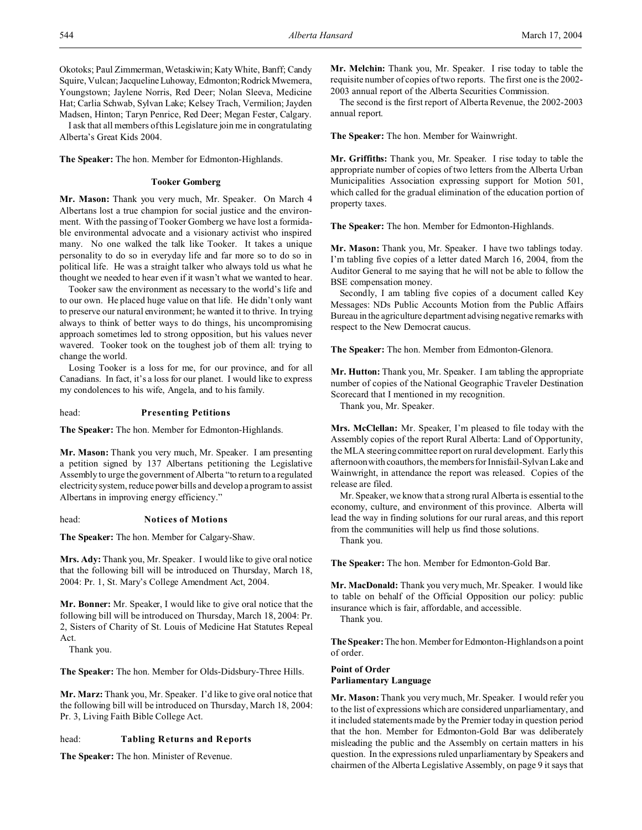I ask that all members of this Legislature join me in congratulating Alberta's Great Kids 2004.

**The Speaker:** The hon. Member for Edmonton-Highlands.

### **Tooker Gomberg**

**Mr. Mason:** Thank you very much, Mr. Speaker. On March 4 Albertans lost a true champion for social justice and the environment. With the passing of Tooker Gomberg we have lost a formidable environmental advocate and a visionary activist who inspired many. No one walked the talk like Tooker. It takes a unique personality to do so in everyday life and far more so to do so in political life. He was a straight talker who always told us what he thought we needed to hear even if it wasn't what we wanted to hear.

Tooker saw the environment as necessary to the world's life and to our own. He placed huge value on that life. He didn't only want to preserve our natural environment; he wanted it to thrive. In trying always to think of better ways to do things, his uncompromising approach sometimes led to strong opposition, but his values never wavered. Tooker took on the toughest job of them all: trying to change the world.

Losing Tooker is a loss for me, for our province, and for all Canadians. In fact, it's a loss for our planet. I would like to express my condolences to his wife, Angela, and to his family.

## head: **Presenting Petitions**

**The Speaker:** The hon. Member for Edmonton-Highlands.

**Mr. Mason:** Thank you very much, Mr. Speaker. I am presenting a petition signed by 137 Albertans petitioning the Legislative Assembly to urge the government of Alberta "to return to a regulated electricity system, reduce power bills and develop a program to assist Albertans in improving energy efficiency."

head: **Notices of Motions**

**The Speaker:** The hon. Member for Calgary-Shaw.

**Mrs. Ady:** Thank you, Mr. Speaker. I would like to give oral notice that the following bill will be introduced on Thursday, March 18, 2004: Pr. 1, St. Mary's College Amendment Act, 2004.

**Mr. Bonner:** Mr. Speaker, I would like to give oral notice that the following bill will be introduced on Thursday, March 18, 2004: Pr. 2, Sisters of Charity of St. Louis of Medicine Hat Statutes Repeal Act.

Thank you.

**The Speaker:** The hon. Member for Olds-Didsbury-Three Hills.

**Mr. Marz:** Thank you, Mr. Speaker. I'd like to give oral notice that the following bill will be introduced on Thursday, March 18, 2004: Pr. 3, Living Faith Bible College Act.

## head: **Tabling Returns and Reports**

**The Speaker:** The hon. Minister of Revenue.

**Mr. Melchin:** Thank you, Mr. Speaker. I rise today to table the requisite number of copies of two reports. The first one is the 2002- 2003 annual report of the Alberta Securities Commission.

The second is the first report of Alberta Revenue, the 2002-2003 annual report.

**The Speaker:** The hon. Member for Wainwright.

**Mr. Griffiths:** Thank you, Mr. Speaker. I rise today to table the appropriate number of copies of two letters from the Alberta Urban Municipalities Association expressing support for Motion 501, which called for the gradual elimination of the education portion of property taxes.

**The Speaker:** The hon. Member for Edmonton-Highlands.

**Mr. Mason:** Thank you, Mr. Speaker. I have two tablings today. I'm tabling five copies of a letter dated March 16, 2004, from the Auditor General to me saying that he will not be able to follow the BSE compensation money.

Secondly, I am tabling five copies of a document called Key Messages: NDs Public Accounts Motion from the Public Affairs Bureau in the agriculture department advising negative remarks with respect to the New Democrat caucus.

**The Speaker:** The hon. Member from Edmonton-Glenora.

**Mr. Hutton:** Thank you, Mr. Speaker. I am tabling the appropriate number of copies of the National Geographic Traveler Destination Scorecard that I mentioned in my recognition.

Thank you, Mr. Speaker.

**Mrs. McClellan:** Mr. Speaker, I'm pleased to file today with the Assembly copies of the report Rural Alberta: Land of Opportunity, the MLA steering committee report on rural development. Early this afternoon with coauthors, the members for Innisfail-Sylvan Lake and Wainwright, in attendance the report was released. Copies of the release are filed.

Mr. Speaker, we know that a strong rural Alberta is essential to the economy, culture, and environment of this province. Alberta will lead the way in finding solutions for our rural areas, and this report from the communities will help us find those solutions. Thank you.

**The Speaker:** The hon. Member for Edmonton-Gold Bar.

**Mr. MacDonald:** Thank you very much, Mr. Speaker. I would like to table on behalf of the Official Opposition our policy: public insurance which is fair, affordable, and accessible.

Thank you.

**The Speaker:** The hon. Member for Edmonton-Highlands on a point of order.

## **Point of Order Parliamentary Language**

**Mr. Mason:** Thank you very much, Mr. Speaker. I would refer you to the list of expressions which are considered unparliamentary, and it included statements made by the Premier today in question period that the hon. Member for Edmonton-Gold Bar was deliberately misleading the public and the Assembly on certain matters in his question. In the expressions ruled unparliamentary by Speakers and chairmen of the Alberta Legislative Assembly, on page 9 it says that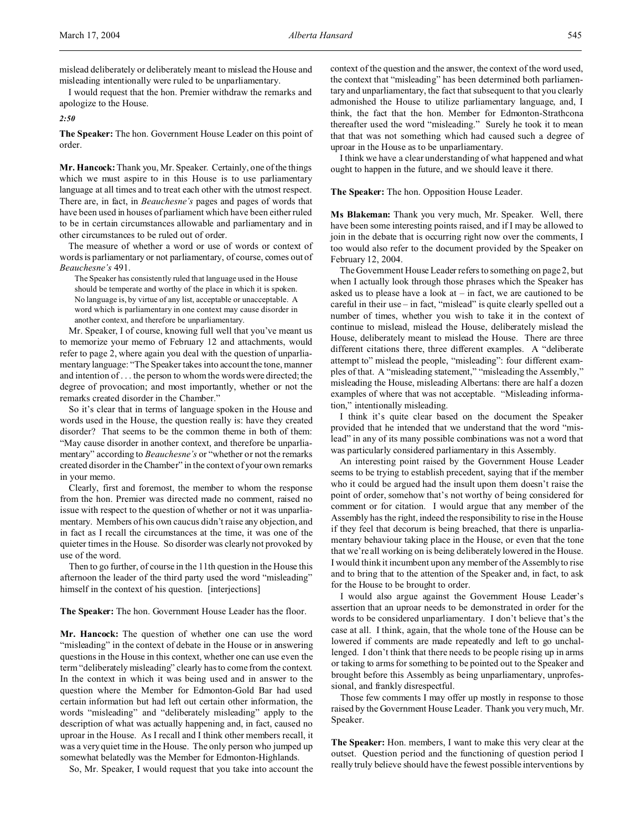mislead deliberately or deliberately meant to mislead the House and misleading intentionally were ruled to be unparliamentary.

I would request that the hon. Premier withdraw the remarks and apologize to the House.

*2:50*

**The Speaker:** The hon. Government House Leader on this point of order.

**Mr. Hancock:** Thank you, Mr. Speaker. Certainly, one of the things which we must aspire to in this House is to use parliamentary language at all times and to treat each other with the utmost respect. There are, in fact, in *Beauchesne's* pages and pages of words that have been used in houses of parliament which have been either ruled to be in certain circumstances allowable and parliamentary and in other circumstances to be ruled out of order.

The measure of whether a word or use of words or context of words is parliamentary or not parliamentary, of course, comes out of *Beauchesne's* 491.

The Speaker has consistently ruled that language used in the House should be temperate and worthy of the place in which it is spoken. No language is, by virtue of any list, acceptable or unacceptable. A word which is parliamentary in one context may cause disorder in another context, and therefore be unparliamentary.

Mr. Speaker, I of course, knowing full well that you've meant us to memorize your memo of February 12 and attachments, would refer to page 2, where again you deal with the question of unparliamentary language: "The Speaker takes into account the tone, manner and intention of . . . the person to whom the words were directed; the degree of provocation; and most importantly, whether or not the remarks created disorder in the Chamber."

So it's clear that in terms of language spoken in the House and words used in the House, the question really is: have they created disorder? That seems to be the common theme in both of them: "May cause disorder in another context, and therefore be unparliamentary" according to *Beauchesne's* or "whether or not the remarks created disorder in the Chamber" in the context of your own remarks in your memo.

Clearly, first and foremost, the member to whom the response from the hon. Premier was directed made no comment, raised no issue with respect to the question of whether or not it was unparliamentary. Members of his own caucus didn't raise any objection, and in fact as I recall the circumstances at the time, it was one of the quieter times in the House. So disorder was clearly not provoked by use of the word.

Then to go further, of course in the 11th question in the House this afternoon the leader of the third party used the word "misleading" himself in the context of his question. [interjections]

**The Speaker:** The hon. Government House Leader has the floor.

**Mr. Hancock:** The question of whether one can use the word "misleading" in the context of debate in the House or in answering questions in the House in this context, whether one can use even the term "deliberately misleading" clearly has to come from the context. In the context in which it was being used and in answer to the question where the Member for Edmonton-Gold Bar had used certain information but had left out certain other information, the words "misleading" and "deliberately misleading" apply to the description of what was actually happening and, in fact, caused no uproar in the House. As I recall and I think other members recall, it was a very quiet time in the House. The only person who jumped up somewhat belatedly was the Member for Edmonton-Highlands.

So, Mr. Speaker, I would request that you take into account the

context of the question and the answer, the context of the word used, the context that "misleading" has been determined both parliamentary and unparliamentary, the fact that subsequent to that you clearly admonished the House to utilize parliamentary language, and, I think, the fact that the hon. Member for Edmonton-Strathcona thereafter used the word "misleading." Surely he took it to mean that that was not something which had caused such a degree of uproar in the House as to be unparliamentary.

I think we have a clear understanding of what happened and what ought to happen in the future, and we should leave it there.

**The Speaker:** The hon. Opposition House Leader.

**Ms Blakeman:** Thank you very much, Mr. Speaker. Well, there have been some interesting points raised, and if I may be allowed to join in the debate that is occurring right now over the comments, I too would also refer to the document provided by the Speaker on February 12, 2004.

The Government House Leader refers to something on page 2, but when I actually look through those phrases which the Speaker has asked us to please have a look at – in fact, we are cautioned to be careful in their use – in fact, "mislead" is quite clearly spelled out a number of times, whether you wish to take it in the context of continue to mislead, mislead the House, deliberately mislead the House, deliberately meant to mislead the House. There are three different citations there, three different examples. A "deliberate attempt to" mislead the people, "misleading": four different examples of that. A "misleading statement," "misleading the Assembly," misleading the House, misleading Albertans: there are half a dozen examples of where that was not acceptable. "Misleading information," intentionally misleading.

I think it's quite clear based on the document the Speaker provided that he intended that we understand that the word "mislead" in any of its many possible combinations was not a word that was particularly considered parliamentary in this Assembly.

An interesting point raised by the Government House Leader seems to be trying to establish precedent, saying that if the member who it could be argued had the insult upon them doesn't raise the point of order, somehow that's not worthy of being considered for comment or for citation. I would argue that any member of the Assembly has the right, indeed the responsibility to rise in the House if they feel that decorum is being breached, that there is unparliamentary behaviour taking place in the House, or even that the tone that we're all working on is being deliberately lowered in the House. I would think it incumbent upon any member of the Assembly to rise and to bring that to the attention of the Speaker and, in fact, to ask for the House to be brought to order.

I would also argue against the Government House Leader's assertion that an uproar needs to be demonstrated in order for the words to be considered unparliamentary. I don't believe that's the case at all. I think, again, that the whole tone of the House can be lowered if comments are made repeatedly and left to go unchallenged. I don't think that there needs to be people rising up in arms or taking to arms for something to be pointed out to the Speaker and brought before this Assembly as being unparliamentary, unprofessional, and frankly disrespectful.

Those few comments I may offer up mostly in response to those raised by the Government House Leader. Thank you very much, Mr. Speaker.

**The Speaker:** Hon. members, I want to make this very clear at the outset. Question period and the functioning of question period I really truly believe should have the fewest possible interventions by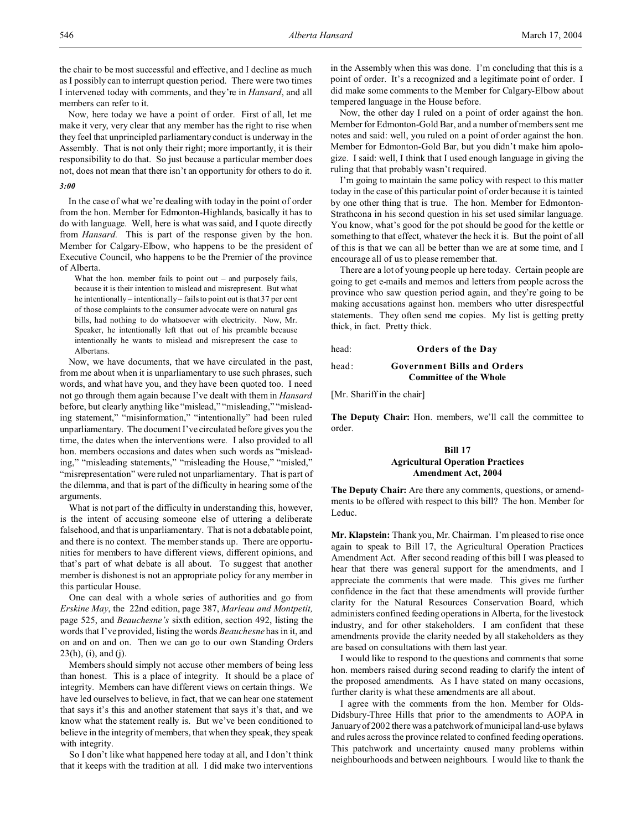Now, here today we have a point of order. First of all, let me make it very, very clear that any member has the right to rise when they feel that unprincipled parliamentary conduct is underway in the Assembly. That is not only their right; more importantly, it is their responsibility to do that. So just because a particular member does not, does not mean that there isn't an opportunity for others to do it.

## *3:00*

In the case of what we're dealing with today in the point of order from the hon. Member for Edmonton-Highlands, basically it has to do with language. Well, here is what was said, and I quote directly from *Hansard.* This is part of the response given by the hon. Member for Calgary-Elbow, who happens to be the president of Executive Council, who happens to be the Premier of the province of Alberta.

What the hon. member fails to point out – and purposely fails, because it is their intention to mislead and misrepresent. But what he intentionally – intentionally – fails to point out is that 37 per cent of those complaints to the consumer advocate were on natural gas bills, had nothing to do whatsoever with electricity. Now, Mr. Speaker, he intentionally left that out of his preamble because intentionally he wants to mislead and misrepresent the case to Albertans.

Now, we have documents, that we have circulated in the past, from me about when it is unparliamentary to use such phrases, such words, and what have you, and they have been quoted too. I need not go through them again because I've dealt with them in *Hansard* before, but clearly anything like "mislead," "misleading," "misleading statement," "misinformation," "intentionally" had been ruled unparliamentary. The document I've circulated before gives you the time, the dates when the interventions were. I also provided to all hon. members occasions and dates when such words as "misleading," "misleading statements," "misleading the House," "misled," "misrepresentation" were ruled not unparliamentary. That is part of the dilemma, and that is part of the difficulty in hearing some of the arguments.

What is not part of the difficulty in understanding this, however, is the intent of accusing someone else of uttering a deliberate falsehood, and that is unparliamentary. That is not a debatable point, and there is no context. The member stands up. There are opportunities for members to have different views, different opinions, and that's part of what debate is all about. To suggest that another member is dishonest is not an appropriate policy for any member in this particular House.

One can deal with a whole series of authorities and go from *Erskine May*, the 22nd edition, page 387, *Marleau and Montpetit,* page 525, and *Beauchesne's* sixth edition, section 492, listing the words that I've provided, listing the words *Beauchesne* has in it, and on and on and on. Then we can go to our own Standing Orders  $23(h)$ , (i), and (j).

Members should simply not accuse other members of being less than honest. This is a place of integrity. It should be a place of integrity. Members can have different views on certain things. We have led ourselves to believe, in fact, that we can hear one statement that says it's this and another statement that says it's that, and we know what the statement really is. But we've been conditioned to believe in the integrity of members, that when they speak, they speak with integrity.

So I don't like what happened here today at all, and I don't think that it keeps with the tradition at all. I did make two interventions in the Assembly when this was done. I'm concluding that this is a point of order. It's a recognized and a legitimate point of order. I did make some comments to the Member for Calgary-Elbow about tempered language in the House before.

Now, the other day I ruled on a point of order against the hon. Member for Edmonton-Gold Bar, and a number of members sent me notes and said: well, you ruled on a point of order against the hon. Member for Edmonton-Gold Bar, but you didn't make him apologize. I said: well, I think that I used enough language in giving the ruling that that probably wasn't required.

I'm going to maintain the same policy with respect to this matter today in the case of this particular point of order because it is tainted by one other thing that is true. The hon. Member for Edmonton-Strathcona in his second question in his set used similar language. You know, what's good for the pot should be good for the kettle or something to that effect, whatever the heck it is. But the point of all of this is that we can all be better than we are at some time, and I encourage all of us to please remember that.

There are a lot of young people up here today. Certain people are going to get e-mails and memos and letters from people across the province who saw question period again, and they're going to be making accusations against hon. members who utter disrespectful statements. They often send me copies. My list is getting pretty thick, in fact. Pretty thick.

head: **Orders of the Day**

#### head: **Government Bills and Orders Committee of the Whole**

[Mr. Shariff in the chair]

**The Deputy Chair:** Hon. members, we'll call the committee to order.

# **Bill 17 Agricultural Operation Practices Amendment Act, 2004**

**The Deputy Chair:** Are there any comments, questions, or amendments to be offered with respect to this bill? The hon. Member for Leduc.

**Mr. Klapstein:** Thank you, Mr. Chairman. I'm pleased to rise once again to speak to Bill 17, the Agricultural Operation Practices Amendment Act. After second reading of this bill I was pleased to hear that there was general support for the amendments, and I appreciate the comments that were made. This gives me further confidence in the fact that these amendments will provide further clarity for the Natural Resources Conservation Board, which administers confined feeding operations in Alberta, for the livestock industry, and for other stakeholders. I am confident that these amendments provide the clarity needed by all stakeholders as they are based on consultations with them last year.

I would like to respond to the questions and comments that some hon. members raised during second reading to clarify the intent of the proposed amendments. As I have stated on many occasions, further clarity is what these amendments are all about.

I agree with the comments from the hon. Member for Olds-Didsbury-Three Hills that prior to the amendments to AOPA in January of 2002 there was a patchwork of municipal land-use bylaws and rules across the province related to confined feeding operations. This patchwork and uncertainty caused many problems within neighbourhoods and between neighbours. I would like to thank the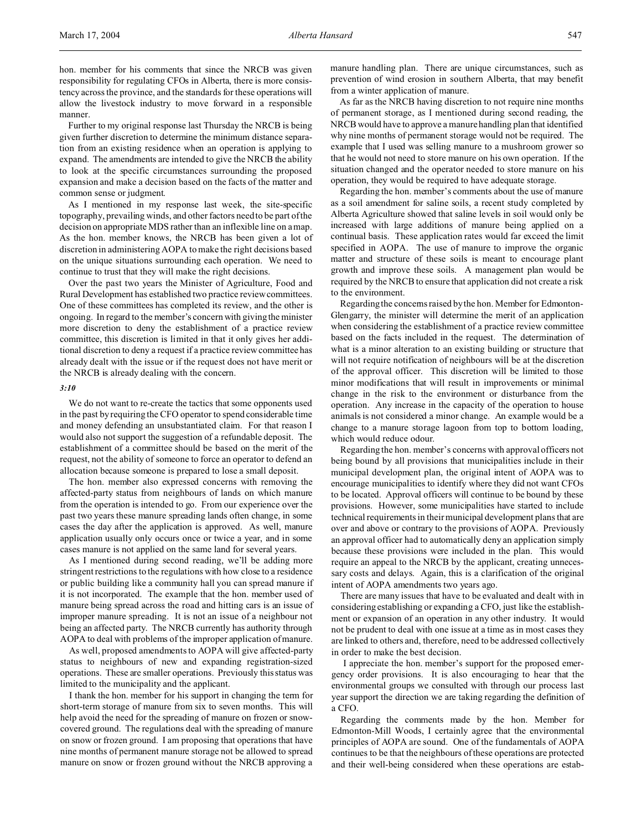hon. member for his comments that since the NRCB was given responsibility for regulating CFOs in Alberta, there is more consistency across the province, and the standards for these operations will allow the livestock industry to move forward in a responsible manner.

Further to my original response last Thursday the NRCB is being given further discretion to determine the minimum distance separation from an existing residence when an operation is applying to expand. The amendments are intended to give the NRCB the ability to look at the specific circumstances surrounding the proposed expansion and make a decision based on the facts of the matter and common sense or judgment.

As I mentioned in my response last week, the site-specific topography, prevailing winds, and other factors need to be part of the decision on appropriate MDS rather than an inflexible line on a map. As the hon. member knows, the NRCB has been given a lot of discretion in administering AOPA to make the right decisions based on the unique situations surrounding each operation. We need to continue to trust that they will make the right decisions.

Over the past two years the Minister of Agriculture, Food and Rural Development has established two practice review committees. One of these committees has completed its review, and the other is ongoing. In regard to the member's concern with giving the minister more discretion to deny the establishment of a practice review committee, this discretion is limited in that it only gives her additional discretion to deny a request if a practice review committee has already dealt with the issue or if the request does not have merit or the NRCB is already dealing with the concern.

#### *3:10*

We do not want to re-create the tactics that some opponents used in the past by requiring the CFO operator to spend considerable time and money defending an unsubstantiated claim. For that reason I would also not support the suggestion of a refundable deposit. The establishment of a committee should be based on the merit of the request, not the ability of someone to force an operator to defend an allocation because someone is prepared to lose a small deposit.

The hon. member also expressed concerns with removing the affected-party status from neighbours of lands on which manure from the operation is intended to go. From our experience over the past two years these manure spreading lands often change, in some cases the day after the application is approved. As well, manure application usually only occurs once or twice a year, and in some cases manure is not applied on the same land for several years.

As I mentioned during second reading, we'll be adding more stringent restrictions to the regulations with how close to a residence or public building like a community hall you can spread manure if it is not incorporated. The example that the hon. member used of manure being spread across the road and hitting cars is an issue of improper manure spreading. It is not an issue of a neighbour not being an affected party. The NRCB currently has authority through AOPA to deal with problems of the improper application of manure.

As well, proposed amendments to AOPA will give affected-party status to neighbours of new and expanding registration-sized operations. These are smaller operations. Previously this status was limited to the municipality and the applicant.

I thank the hon. member for his support in changing the term for short-term storage of manure from six to seven months. This will help avoid the need for the spreading of manure on frozen or snowcovered ground. The regulations deal with the spreading of manure on snow or frozen ground. I am proposing that operations that have nine months of permanent manure storage not be allowed to spread manure on snow or frozen ground without the NRCB approving a

manure handling plan. There are unique circumstances, such as prevention of wind erosion in southern Alberta, that may benefit from a winter application of manure.

As far as the NRCB having discretion to not require nine months of permanent storage, as I mentioned during second reading, the NRCB would have to approve a manure handling plan that identified why nine months of permanent storage would not be required. The example that I used was selling manure to a mushroom grower so that he would not need to store manure on his own operation. If the situation changed and the operator needed to store manure on his operation, they would be required to have adequate storage.

Regarding the hon. member's comments about the use of manure as a soil amendment for saline soils, a recent study completed by Alberta Agriculture showed that saline levels in soil would only be increased with large additions of manure being applied on a continual basis. These application rates would far exceed the limit specified in AOPA. The use of manure to improve the organic matter and structure of these soils is meant to encourage plant growth and improve these soils. A management plan would be required by the NRCB to ensure that application did not create a risk to the environment.

Regarding the concerns raised by the hon. Member for Edmonton-Glengarry, the minister will determine the merit of an application when considering the establishment of a practice review committee based on the facts included in the request. The determination of what is a minor alteration to an existing building or structure that will not require notification of neighbours will be at the discretion of the approval officer. This discretion will be limited to those minor modifications that will result in improvements or minimal change in the risk to the environment or disturbance from the operation. Any increase in the capacity of the operation to house animals is not considered a minor change. An example would be a change to a manure storage lagoon from top to bottom loading, which would reduce odour.

Regarding the hon. member's concerns with approval officers not being bound by all provisions that municipalities include in their municipal development plan, the original intent of AOPA was to encourage municipalities to identify where they did not want CFOs to be located. Approval officers will continue to be bound by these provisions. However, some municipalities have started to include technical requirements in their municipal development plans that are over and above or contrary to the provisions of AOPA. Previously an approval officer had to automatically deny an application simply because these provisions were included in the plan. This would require an appeal to the NRCB by the applicant, creating unnecessary costs and delays. Again, this is a clarification of the original intent of AOPA amendments two years ago.

There are many issues that have to be evaluated and dealt with in considering establishing or expanding a CFO, just like the establishment or expansion of an operation in any other industry. It would not be prudent to deal with one issue at a time as in most cases they are linked to others and, therefore, need to be addressed collectively in order to make the best decision.

 I appreciate the hon. member's support for the proposed emergency order provisions. It is also encouraging to hear that the environmental groups we consulted with through our process last year support the direction we are taking regarding the definition of a CFO.

Regarding the comments made by the hon. Member for Edmonton-Mill Woods, I certainly agree that the environmental principles of AOPA are sound. One of the fundamentals of AOPA continues to be that the neighbours of these operations are protected and their well-being considered when these operations are estab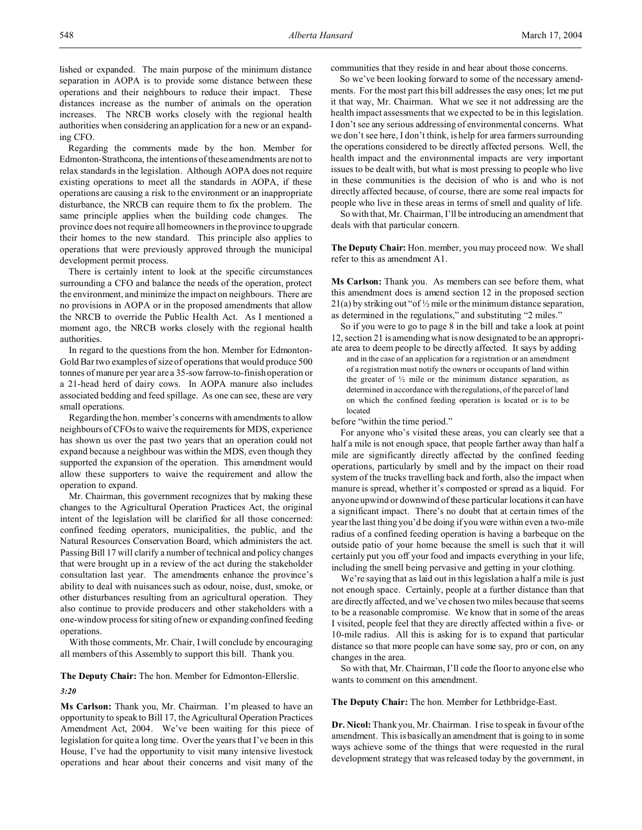lished or expanded. The main purpose of the minimum distance separation in AOPA is to provide some distance between these operations and their neighbours to reduce their impact. These distances increase as the number of animals on the operation increases. The NRCB works closely with the regional health authorities when considering an application for a new or an expanding CFO.

Regarding the comments made by the hon. Member for Edmonton-Strathcona, the intentions of these amendments are not to relax standards in the legislation. Although AOPA does not require existing operations to meet all the standards in AOPA, if these operations are causing a risk to the environment or an inappropriate disturbance, the NRCB can require them to fix the problem. The same principle applies when the building code changes. The province does not require all homeowners in the province to upgrade their homes to the new standard. This principle also applies to operations that were previously approved through the municipal development permit process.

There is certainly intent to look at the specific circumstances surrounding a CFO and balance the needs of the operation, protect the environment, and minimize the impact on neighbours. There are no provisions in AOPA or in the proposed amendments that allow the NRCB to override the Public Health Act. As I mentioned a moment ago, the NRCB works closely with the regional health authorities.

In regard to the questions from the hon. Member for Edmonton-Gold Bar two examples of size of operations that would produce 500 tonnes of manure per year are a 35-sow farrow-to-finish operation or a 21-head herd of dairy cows. In AOPA manure also includes associated bedding and feed spillage. As one can see, these are very small operations.

Regarding the hon. member's concerns with amendments to allow neighbours of CFOs to waive the requirements for MDS, experience has shown us over the past two years that an operation could not expand because a neighbour was within the MDS, even though they supported the expansion of the operation. This amendment would allow these supporters to waive the requirement and allow the operation to expand.

Mr. Chairman, this government recognizes that by making these changes to the Agricultural Operation Practices Act, the original intent of the legislation will be clarified for all those concerned: confined feeding operators, municipalities, the public, and the Natural Resources Conservation Board, which administers the act. Passing Bill 17 will clarify a number of technical and policy changes that were brought up in a review of the act during the stakeholder consultation last year. The amendments enhance the province's ability to deal with nuisances such as odour, noise, dust, smoke, or other disturbances resulting from an agricultural operation. They also continue to provide producers and other stakeholders with a one-window process for siting of new or expanding confined feeding operations.

With those comments, Mr. Chair, I will conclude by encouraging all members of this Assembly to support this bill. Thank you.

**The Deputy Chair:** The hon. Member for Edmonton-Ellerslie.

# *3:20*

**Ms Carlson:** Thank you, Mr. Chairman. I'm pleased to have an opportunity to speak to Bill 17, the Agricultural Operation Practices Amendment Act, 2004. We've been waiting for this piece of legislation for quite a long time. Over the years that I've been in this House, I've had the opportunity to visit many intensive livestock operations and hear about their concerns and visit many of the communities that they reside in and hear about those concerns.

So we've been looking forward to some of the necessary amendments. For the most part this bill addresses the easy ones; let me put it that way, Mr. Chairman. What we see it not addressing are the health impact assessments that we expected to be in this legislation. I don't see any serious addressing of environmental concerns. What we don't see here, I don't think, is help for area farmers surrounding the operations considered to be directly affected persons. Well, the health impact and the environmental impacts are very important issues to be dealt with, but what is most pressing to people who live in these communities is the decision of who is and who is not directly affected because, of course, there are some real impacts for people who live in these areas in terms of smell and quality of life.

So with that, Mr. Chairman, I'll be introducing an amendment that deals with that particular concern.

**The Deputy Chair:** Hon. member, you may proceed now. We shall refer to this as amendment A1.

**Ms Carlson:** Thank you. As members can see before them, what this amendment does is amend section 12 in the proposed section  $21(a)$  by striking out "of  $\frac{1}{2}$  mile or the minimum distance separation, as determined in the regulations," and substituting "2 miles."

So if you were to go to page 8 in the bill and take a look at point 12, section 21 is amending what is now designated to be an appropriate area to deem people to be directly affected. It says by adding

and in the case of an application for a registration or an amendment of a registration must notify the owners or occupants of land within the greater of  $\frac{1}{2}$  mile or the minimum distance separation, as determined in accordance with the regulations, of the parcel of land on which the confined feeding operation is located or is to be located

before "within the time period."

For anyone who's visited these areas, you can clearly see that a half a mile is not enough space, that people farther away than half a mile are significantly directly affected by the confined feeding operations, particularly by smell and by the impact on their road system of the trucks travelling back and forth, also the impact when manure is spread, whether it's composted or spread as a liquid. For anyone upwind or downwind of these particular locations it can have a significant impact. There's no doubt that at certain times of the year the last thing you'd be doing if you were within even a two-mile radius of a confined feeding operation is having a barbeque on the outside patio of your home because the smell is such that it will certainly put you off your food and impacts everything in your life, including the smell being pervasive and getting in your clothing.

We're saying that as laid out in this legislation a half a mile is just not enough space. Certainly, people at a further distance than that are directly affected, and we've chosen two miles because that seems to be a reasonable compromise. We know that in some of the areas I visited, people feel that they are directly affected within a five- or 10-mile radius. All this is asking for is to expand that particular distance so that more people can have some say, pro or con, on any changes in the area.

So with that, Mr. Chairman, I'll cede the floor to anyone else who wants to comment on this amendment.

**The Deputy Chair:** The hon. Member for Lethbridge-East.

**Dr. Nicol:** Thank you, Mr. Chairman. I rise to speak in favour of the amendment. This is basically an amendment that is going to in some ways achieve some of the things that were requested in the rural development strategy that was released today by the government, in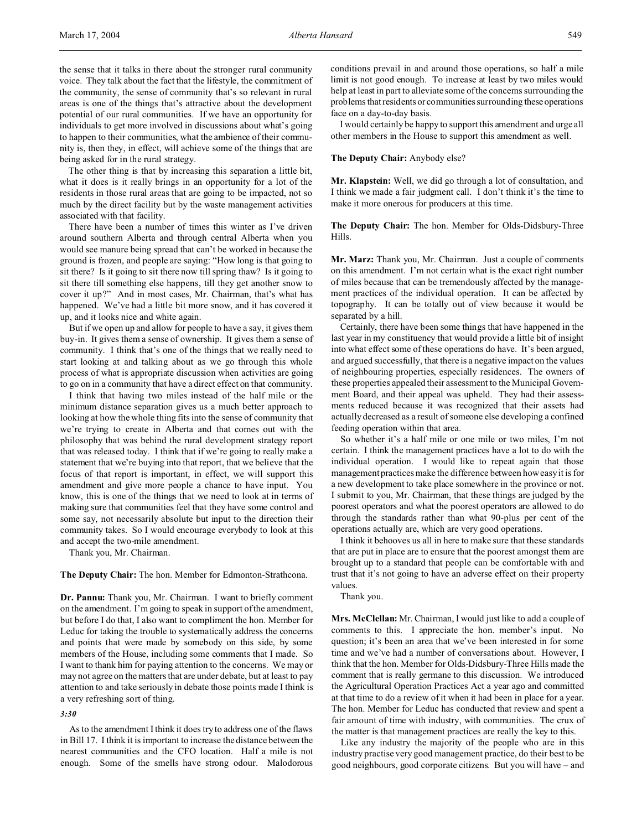the sense that it talks in there about the stronger rural community voice. They talk about the fact that the lifestyle, the commitment of the community, the sense of community that's so relevant in rural areas is one of the things that's attractive about the development potential of our rural communities. If we have an opportunity for individuals to get more involved in discussions about what's going to happen to their communities, what the ambience of their community is, then they, in effect, will achieve some of the things that are being asked for in the rural strategy.

The other thing is that by increasing this separation a little bit, what it does is it really brings in an opportunity for a lot of the residents in those rural areas that are going to be impacted, not so much by the direct facility but by the waste management activities associated with that facility.

There have been a number of times this winter as I've driven around southern Alberta and through central Alberta when you would see manure being spread that can't be worked in because the ground is frozen, and people are saying: "How long is that going to sit there? Is it going to sit there now till spring thaw? Is it going to sit there till something else happens, till they get another snow to cover it up?" And in most cases, Mr. Chairman, that's what has happened. We've had a little bit more snow, and it has covered it up, and it looks nice and white again.

But if we open up and allow for people to have a say, it gives them buy-in. It gives them a sense of ownership. It gives them a sense of community. I think that's one of the things that we really need to start looking at and talking about as we go through this whole process of what is appropriate discussion when activities are going to go on in a community that have a direct effect on that community.

I think that having two miles instead of the half mile or the minimum distance separation gives us a much better approach to looking at how the whole thing fits into the sense of community that we're trying to create in Alberta and that comes out with the philosophy that was behind the rural development strategy report that was released today. I think that if we're going to really make a statement that we're buying into that report, that we believe that the focus of that report is important, in effect, we will support this amendment and give more people a chance to have input. You know, this is one of the things that we need to look at in terms of making sure that communities feel that they have some control and some say, not necessarily absolute but input to the direction their community takes. So I would encourage everybody to look at this and accept the two-mile amendment.

Thank you, Mr. Chairman.

**The Deputy Chair:** The hon. Member for Edmonton-Strathcona.

**Dr. Pannu:** Thank you, Mr. Chairman. I want to briefly comment on the amendment. I'm going to speak in support of the amendment, but before I do that, I also want to compliment the hon. Member for Leduc for taking the trouble to systematically address the concerns and points that were made by somebody on this side, by some members of the House, including some comments that I made. So I want to thank him for paying attention to the concerns. We may or may not agree on the matters that are under debate, but at least to pay attention to and take seriously in debate those points made I think is a very refreshing sort of thing.

## *3:30*

As to the amendment I think it does try to address one of the flaws in Bill 17. I think it is important to increase the distance between the nearest communities and the CFO location. Half a mile is not enough. Some of the smells have strong odour. Malodorous

conditions prevail in and around those operations, so half a mile limit is not good enough. To increase at least by two miles would help at least in part to alleviate some of the concerns surrounding the problems that residents or communities surrounding these operations face on a day-to-day basis.

I would certainly be happy to support this amendment and urge all other members in the House to support this amendment as well.

#### **The Deputy Chair:** Anybody else?

**Mr. Klapstein:** Well, we did go through a lot of consultation, and I think we made a fair judgment call. I don't think it's the time to make it more onerous for producers at this time.

**The Deputy Chair:** The hon. Member for Olds-Didsbury-Three Hills.

**Mr. Marz:** Thank you, Mr. Chairman. Just a couple of comments on this amendment. I'm not certain what is the exact right number of miles because that can be tremendously affected by the management practices of the individual operation. It can be affected by topography. It can be totally out of view because it would be separated by a hill.

Certainly, there have been some things that have happened in the last year in my constituency that would provide a little bit of insight into what effect some of these operations do have. It's been argued, and argued successfully, that there is a negative impact on the values of neighbouring properties, especially residences. The owners of these properties appealed their assessment to the Municipal Government Board, and their appeal was upheld. They had their assessments reduced because it was recognized that their assets had actually decreased as a result of someone else developing a confined feeding operation within that area.

So whether it's a half mile or one mile or two miles, I'm not certain. I think the management practices have a lot to do with the individual operation. I would like to repeat again that those management practices make the difference between how easy it is for a new development to take place somewhere in the province or not. I submit to you, Mr. Chairman, that these things are judged by the poorest operators and what the poorest operators are allowed to do through the standards rather than what 90-plus per cent of the operations actually are, which are very good operations.

I think it behooves us all in here to make sure that these standards that are put in place are to ensure that the poorest amongst them are brought up to a standard that people can be comfortable with and trust that it's not going to have an adverse effect on their property values.

Thank you.

**Mrs. McClellan:** Mr. Chairman, I would just like to add a couple of comments to this. I appreciate the hon. member's input. No question; it's been an area that we've been interested in for some time and we've had a number of conversations about. However, I think that the hon. Member for Olds-Didsbury-Three Hills made the comment that is really germane to this discussion. We introduced the Agricultural Operation Practices Act a year ago and committed at that time to do a review of it when it had been in place for a year. The hon. Member for Leduc has conducted that review and spent a fair amount of time with industry, with communities. The crux of the matter is that management practices are really the key to this.

Like any industry the majority of the people who are in this industry practise very good management practice, do their best to be good neighbours, good corporate citizens. But you will have – and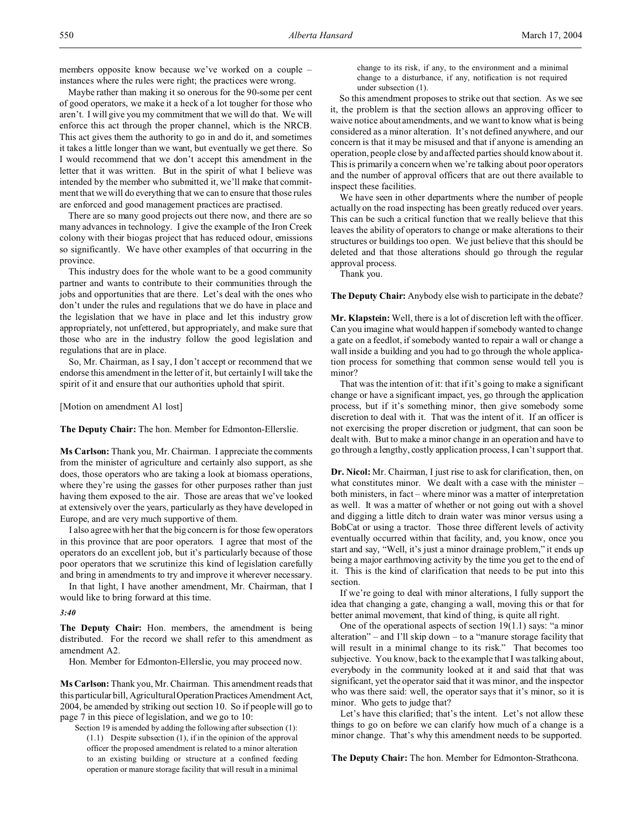members opposite know because we've worked on a couple – instances where the rules were right; the practices were wrong.

Maybe rather than making it so onerous for the 90-some per cent of good operators, we make it a heck of a lot tougher for those who aren't. I will give you my commitment that we will do that. We will enforce this act through the proper channel, which is the NRCB. This act gives them the authority to go in and do it, and sometimes it takes a little longer than we want, but eventually we get there. So I would recommend that we don't accept this amendment in the letter that it was written. But in the spirit of what I believe was intended by the member who submitted it, we'll make that commitment that we will do everything that we can to ensure that those rules are enforced and good management practices are practised.

There are so many good projects out there now, and there are so many advances in technology. I give the example of the Iron Creek colony with their biogas project that has reduced odour, emissions so significantly. We have other examples of that occurring in the province.

This industry does for the whole want to be a good community partner and wants to contribute to their communities through the jobs and opportunities that are there. Let's deal with the ones who don't under the rules and regulations that we do have in place and the legislation that we have in place and let this industry grow appropriately, not unfettered, but appropriately, and make sure that those who are in the industry follow the good legislation and regulations that are in place.

So, Mr. Chairman, as I say, I don't accept or recommend that we endorse this amendment in the letter of it, but certainly I will take the spirit of it and ensure that our authorities uphold that spirit.

[Motion on amendment A1 lost]

**The Deputy Chair:** The hon. Member for Edmonton-Ellerslie.

**Ms Carlson:** Thank you, Mr. Chairman. I appreciate the comments from the minister of agriculture and certainly also support, as she does, those operators who are taking a look at biomass operations, where they're using the gasses for other purposes rather than just having them exposed to the air. Those are areas that we've looked at extensively over the years, particularly as they have developed in Europe, and are very much supportive of them.

I also agree with her that the big concern is for those few operators in this province that are poor operators. I agree that most of the operators do an excellent job, but it's particularly because of those poor operators that we scrutinize this kind of legislation carefully and bring in amendments to try and improve it wherever necessary.

In that light, I have another amendment, Mr. Chairman, that I would like to bring forward at this time.

*3:40*

**The Deputy Chair:** Hon. members, the amendment is being distributed. For the record we shall refer to this amendment as amendment A2.

Hon. Member for Edmonton-Ellerslie, you may proceed now.

**Ms Carlson:** Thank you, Mr. Chairman. This amendment reads that this particular bill, Agricultural Operation Practices Amendment Act, 2004, be amended by striking out section 10. So if people will go to page 7 in this piece of legislation, and we go to 10:

Section 19 is amended by adding the following after subsection (1): (1.1) Despite subsection (1), if in the opinion of the approval officer the proposed amendment is related to a minor alteration to an existing building or structure at a confined feeding operation or manure storage facility that will result in a minimal change to its risk, if any, to the environment and a minimal change to a disturbance, if any, notification is not required under subsection (1).

So this amendment proposes to strike out that section. As we see it, the problem is that the section allows an approving officer to waive notice about amendments, and we want to know what is being considered as a minor alteration. It's not defined anywhere, and our concern is that it may be misused and that if anyone is amending an operation, people close by and affected parties should know about it. This is primarily a concern when we're talking about poor operators and the number of approval officers that are out there available to inspect these facilities.

We have seen in other departments where the number of people actually on the road inspecting has been greatly reduced over years. This can be such a critical function that we really believe that this leaves the ability of operators to change or make alterations to their structures or buildings too open. We just believe that this should be deleted and that those alterations should go through the regular approval process.

Thank you.

**The Deputy Chair:** Anybody else wish to participate in the debate?

**Mr. Klapstein:** Well, there is a lot of discretion left with the officer. Can you imagine what would happen if somebody wanted to change a gate on a feedlot, if somebody wanted to repair a wall or change a wall inside a building and you had to go through the whole application process for something that common sense would tell you is minor?

That was the intention of it: that if it's going to make a significant change or have a significant impact, yes, go through the application process, but if it's something minor, then give somebody some discretion to deal with it. That was the intent of it. If an officer is not exercising the proper discretion or judgment, that can soon be dealt with. But to make a minor change in an operation and have to go through a lengthy, costly application process, I can't support that.

**Dr. Nicol:** Mr. Chairman, I just rise to ask for clarification, then, on what constitutes minor. We dealt with a case with the minister – both ministers, in fact – where minor was a matter of interpretation as well. It was a matter of whether or not going out with a shovel and digging a little ditch to drain water was minor versus using a BobCat or using a tractor. Those three different levels of activity eventually occurred within that facility, and, you know, once you start and say, "Well, it's just a minor drainage problem," it ends up being a major earthmoving activity by the time you get to the end of it. This is the kind of clarification that needs to be put into this section.

If we're going to deal with minor alterations, I fully support the idea that changing a gate, changing a wall, moving this or that for better animal movement, that kind of thing, is quite all right.

One of the operational aspects of section 19(1.1) says: "a minor alteration" – and I'll skip down – to a "manure storage facility that will result in a minimal change to its risk." That becomes too subjective. You know, back to the example that I was talking about, everybody in the community looked at it and said that that was significant, yet the operator said that it was minor, and the inspector who was there said: well, the operator says that it's minor, so it is minor. Who gets to judge that?

Let's have this clarified; that's the intent. Let's not allow these things to go on before we can clarify how much of a change is a minor change. That's why this amendment needs to be supported.

**The Deputy Chair:** The hon. Member for Edmonton-Strathcona.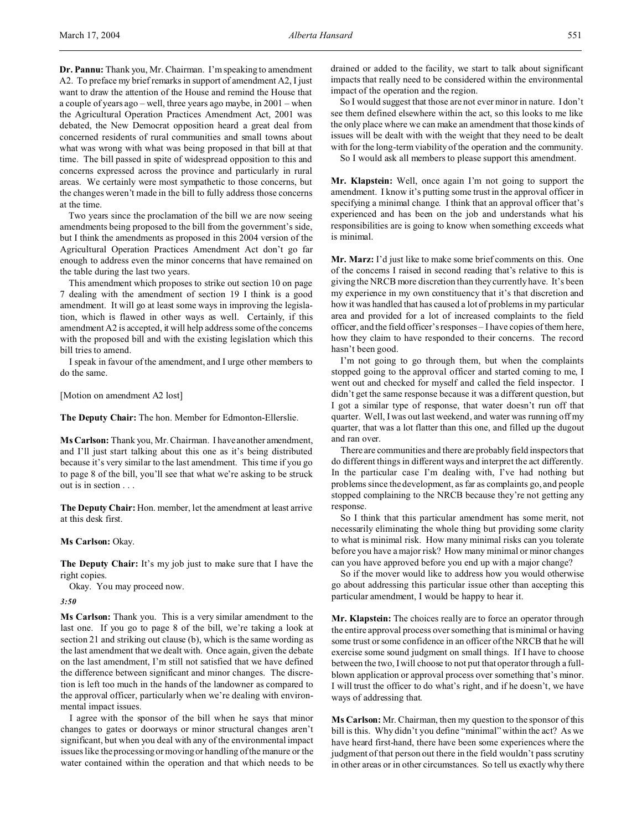**Dr. Pannu:** Thank you, Mr. Chairman. I'm speaking to amendment A2. To preface my brief remarks in support of amendment A2, I just want to draw the attention of the House and remind the House that a couple of years ago – well, three years ago maybe, in 2001 – when the Agricultural Operation Practices Amendment Act, 2001 was debated, the New Democrat opposition heard a great deal from concerned residents of rural communities and small towns about what was wrong with what was being proposed in that bill at that time. The bill passed in spite of widespread opposition to this and concerns expressed across the province and particularly in rural areas. We certainly were most sympathetic to those concerns, but the changes weren't made in the bill to fully address those concerns at the time.

Two years since the proclamation of the bill we are now seeing amendments being proposed to the bill from the government's side, but I think the amendments as proposed in this 2004 version of the Agricultural Operation Practices Amendment Act don't go far enough to address even the minor concerns that have remained on the table during the last two years.

This amendment which proposes to strike out section 10 on page 7 dealing with the amendment of section 19 I think is a good amendment. It will go at least some ways in improving the legislation, which is flawed in other ways as well. Certainly, if this amendment A2 is accepted, it will help address some of the concerns with the proposed bill and with the existing legislation which this bill tries to amend.

I speak in favour of the amendment, and I urge other members to do the same.

[Motion on amendment A2 lost]

**The Deputy Chair:** The hon. Member for Edmonton-Ellerslie.

**Ms Carlson:** Thank you, Mr. Chairman. I have another amendment, and I'll just start talking about this one as it's being distributed because it's very similar to the last amendment. This time if you go to page 8 of the bill, you'll see that what we're asking to be struck out is in section

**The Deputy Chair:** Hon. member, let the amendment at least arrive at this desk first.

**Ms Carlson:** Okay.

**The Deputy Chair:** It's my job just to make sure that I have the right copies.

Okay. You may proceed now.

*3:50*

**Ms Carlson:** Thank you. This is a very similar amendment to the last one. If you go to page 8 of the bill, we're taking a look at section 21 and striking out clause (b), which is the same wording as the last amendment that we dealt with. Once again, given the debate on the last amendment, I'm still not satisfied that we have defined the difference between significant and minor changes. The discretion is left too much in the hands of the landowner as compared to the approval officer, particularly when we're dealing with environmental impact issues.

I agree with the sponsor of the bill when he says that minor changes to gates or doorways or minor structural changes aren't significant, but when you deal with any of the environmental impact issues like the processing or moving or handling of the manure or the water contained within the operation and that which needs to be drained or added to the facility, we start to talk about significant impacts that really need to be considered within the environmental impact of the operation and the region.

So I would suggest that those are not ever minor in nature. I don't see them defined elsewhere within the act, so this looks to me like the only place where we can make an amendment that those kinds of issues will be dealt with with the weight that they need to be dealt with for the long-term viability of the operation and the community.

So I would ask all members to please support this amendment.

**Mr. Klapstein:** Well, once again I'm not going to support the amendment. I know it's putting some trust in the approval officer in specifying a minimal change. I think that an approval officer that's experienced and has been on the job and understands what his responsibilities are is going to know when something exceeds what is minimal.

**Mr. Marz:** I'd just like to make some brief comments on this. One of the concerns I raised in second reading that's relative to this is giving the NRCB more discretion than they currently have. It's been my experience in my own constituency that it's that discretion and how it was handled that has caused a lot of problems in my particular area and provided for a lot of increased complaints to the field officer, and the field officer's responses – I have copies of them here, how they claim to have responded to their concerns. The record hasn't been good.

I'm not going to go through them, but when the complaints stopped going to the approval officer and started coming to me, I went out and checked for myself and called the field inspector. I didn't get the same response because it was a different question, but I got a similar type of response, that water doesn't run off that quarter. Well, I was out last weekend, and water was running off my quarter, that was a lot flatter than this one, and filled up the dugout and ran over.

There are communities and there are probably field inspectors that do different things in different ways and interpret the act differently. In the particular case I'm dealing with, I've had nothing but problems since the development, as far as complaints go, and people stopped complaining to the NRCB because they're not getting any response.

So I think that this particular amendment has some merit, not necessarily eliminating the whole thing but providing some clarity to what is minimal risk. How many minimal risks can you tolerate before you have a major risk? How many minimal or minor changes can you have approved before you end up with a major change?

So if the mover would like to address how you would otherwise go about addressing this particular issue other than accepting this particular amendment, I would be happy to hear it.

**Mr. Klapstein:** The choices really are to force an operator through the entire approval process over something that is minimal or having some trust or some confidence in an officer of the NRCB that he will exercise some sound judgment on small things. If I have to choose between the two, I will choose to not put that operator through a fullblown application or approval process over something that's minor. I will trust the officer to do what's right, and if he doesn't, we have ways of addressing that.

**Ms Carlson:** Mr. Chairman, then my question to the sponsor of this bill is this. Why didn't you define "minimal" within the act? As we have heard first-hand, there have been some experiences where the judgment of that person out there in the field wouldn't pass scrutiny in other areas or in other circumstances. So tell us exactly why there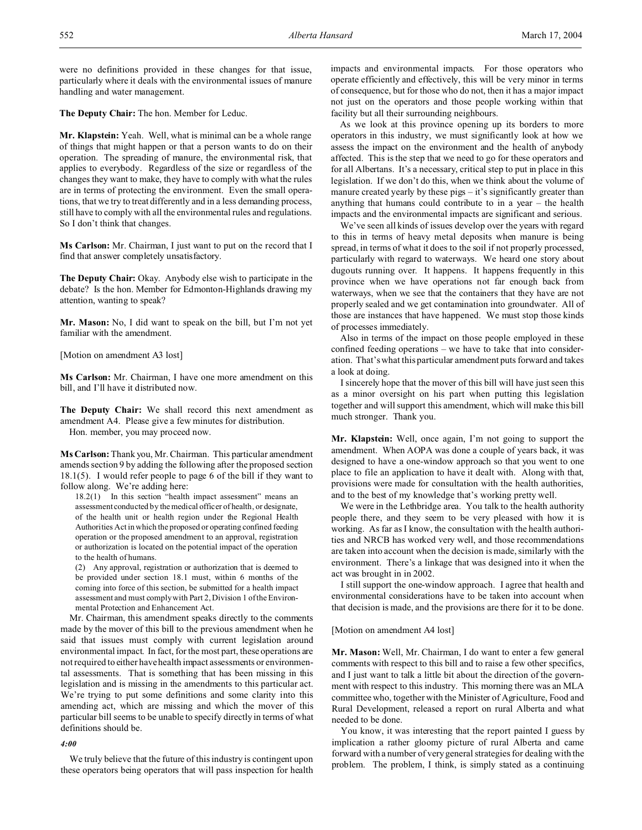were no definitions provided in these changes for that issue, particularly where it deals with the environmental issues of manure handling and water management.

**The Deputy Chair:** The hon. Member for Leduc.

**Mr. Klapstein:** Yeah. Well, what is minimal can be a whole range of things that might happen or that a person wants to do on their operation. The spreading of manure, the environmental risk, that applies to everybody. Regardless of the size or regardless of the changes they want to make, they have to comply with what the rules are in terms of protecting the environment. Even the small operations, that we try to treat differently and in a less demanding process, still have to comply with all the environmental rules and regulations. So I don't think that changes.

**Ms Carlson:** Mr. Chairman, I just want to put on the record that I find that answer completely unsatisfactory.

**The Deputy Chair:** Okay. Anybody else wish to participate in the debate? Is the hon. Member for Edmonton-Highlands drawing my attention, wanting to speak?

**Mr. Mason:** No, I did want to speak on the bill, but I'm not yet familiar with the amendment.

[Motion on amendment A3 lost]

**Ms Carlson:** Mr. Chairman, I have one more amendment on this bill, and I'll have it distributed now.

**The Deputy Chair:** We shall record this next amendment as amendment A4. Please give a few minutes for distribution. Hon. member, you may proceed now.

**Ms Carlson:** Thank you, Mr. Chairman. This particular amendment amends section 9 by adding the following after the proposed section 18.1(5). I would refer people to page 6 of the bill if they want to follow along. We're adding here:

18.2(1) In this section "health impact assessment" means an assessment conducted by the medical officer of health, or designate, of the health unit or health region under the Regional Health Authorities Act in which the proposed or operating confined feeding operation or the proposed amendment to an approval, registration or authorization is located on the potential impact of the operation to the health of humans.

(2) Any approval, registration or authorization that is deemed to be provided under section 18.1 must, within 6 months of the coming into force of this section, be submitted for a health impact assessment and must comply with Part 2, Division 1 of the Environmental Protection and Enhancement Act.

Mr. Chairman, this amendment speaks directly to the comments made by the mover of this bill to the previous amendment when he said that issues must comply with current legislation around environmental impact. In fact, for the most part, these operations are not required to either have health impact assessments or environmental assessments. That is something that has been missing in this legislation and is missing in the amendments to this particular act. We're trying to put some definitions and some clarity into this amending act, which are missing and which the mover of this particular bill seems to be unable to specify directly in terms of what definitions should be.

# *4:00*

We truly believe that the future of this industry is contingent upon these operators being operators that will pass inspection for health

impacts and environmental impacts. For those operators who operate efficiently and effectively, this will be very minor in terms of consequence, but for those who do not, then it has a major impact not just on the operators and those people working within that facility but all their surrounding neighbours.

As we look at this province opening up its borders to more operators in this industry, we must significantly look at how we assess the impact on the environment and the health of anybody affected. This is the step that we need to go for these operators and for all Albertans. It's a necessary, critical step to put in place in this legislation. If we don't do this, when we think about the volume of manure created yearly by these pigs – it's significantly greater than anything that humans could contribute to in a year – the health impacts and the environmental impacts are significant and serious.

We've seen all kinds of issues develop over the years with regard to this in terms of heavy metal deposits when manure is being spread, in terms of what it does to the soil if not properly processed, particularly with regard to waterways. We heard one story about dugouts running over. It happens. It happens frequently in this province when we have operations not far enough back from waterways, when we see that the containers that they have are not properly sealed and we get contamination into groundwater. All of those are instances that have happened. We must stop those kinds of processes immediately.

Also in terms of the impact on those people employed in these confined feeding operations – we have to take that into consideration. That's what this particular amendment puts forward and takes a look at doing.

I sincerely hope that the mover of this bill will have just seen this as a minor oversight on his part when putting this legislation together and will support this amendment, which will make this bill much stronger. Thank you.

**Mr. Klapstein:** Well, once again, I'm not going to support the amendment. When AOPA was done a couple of years back, it was designed to have a one-window approach so that you went to one place to file an application to have it dealt with. Along with that, provisions were made for consultation with the health authorities, and to the best of my knowledge that's working pretty well.

We were in the Lethbridge area. You talk to the health authority people there, and they seem to be very pleased with how it is working. As far as I know, the consultation with the health authorities and NRCB has worked very well, and those recommendations are taken into account when the decision is made, similarly with the environment. There's a linkage that was designed into it when the act was brought in in 2002.

I still support the one-window approach. I agree that health and environmental considerations have to be taken into account when that decision is made, and the provisions are there for it to be done.

#### [Motion on amendment A4 lost]

**Mr. Mason:** Well, Mr. Chairman, I do want to enter a few general comments with respect to this bill and to raise a few other specifics, and I just want to talk a little bit about the direction of the government with respect to this industry. This morning there was an MLA committee who, together with the Minister of Agriculture, Food and Rural Development, released a report on rural Alberta and what needed to be done.

You know, it was interesting that the report painted I guess by implication a rather gloomy picture of rural Alberta and came forward with a number of very general strategies for dealing with the problem. The problem, I think, is simply stated as a continuing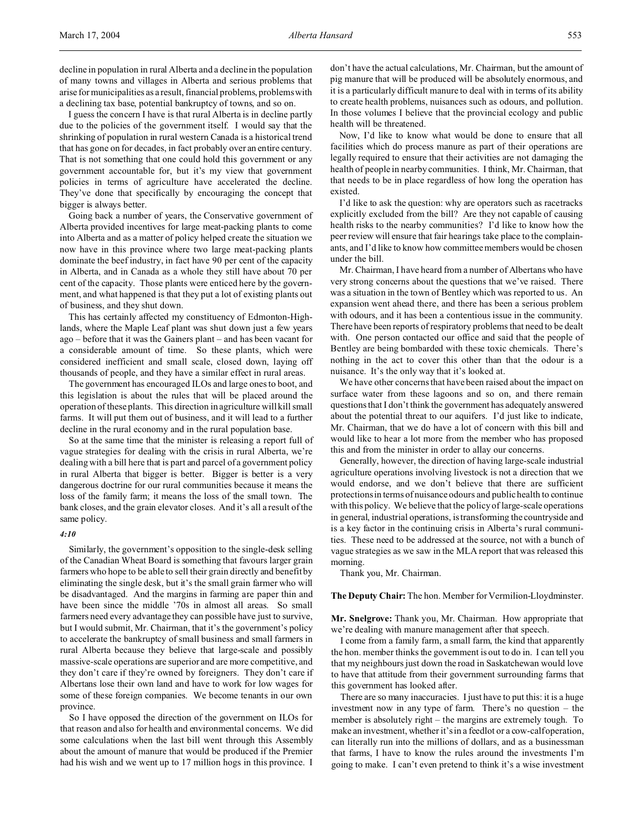decline in population in rural Alberta and a decline in the population of many towns and villages in Alberta and serious problems that arise for municipalities as a result, financial problems, problems with a declining tax base, potential bankruptcy of towns, and so on.

I guess the concern I have is that rural Alberta is in decline partly due to the policies of the government itself. I would say that the shrinking of population in rural western Canada is a historical trend that has gone on for decades, in fact probably over an entire century. That is not something that one could hold this government or any government accountable for, but it's my view that government policies in terms of agriculture have accelerated the decline. They've done that specifically by encouraging the concept that bigger is always better.

Going back a number of years, the Conservative government of Alberta provided incentives for large meat-packing plants to come into Alberta and as a matter of policy helped create the situation we now have in this province where two large meat-packing plants dominate the beef industry, in fact have 90 per cent of the capacity in Alberta, and in Canada as a whole they still have about 70 per cent of the capacity. Those plants were enticed here by the government, and what happened is that they put a lot of existing plants out of business, and they shut down.

This has certainly affected my constituency of Edmonton-Highlands, where the Maple Leaf plant was shut down just a few years ago – before that it was the Gainers plant – and has been vacant for a considerable amount of time. So these plants, which were considered inefficient and small scale, closed down, laying off thousands of people, and they have a similar effect in rural areas.

The government has encouraged ILOs and large ones to boot, and this legislation is about the rules that will be placed around the operation of these plants. This direction in agriculture will kill small farms. It will put them out of business, and it will lead to a further decline in the rural economy and in the rural population base.

So at the same time that the minister is releasing a report full of vague strategies for dealing with the crisis in rural Alberta, we're dealing with a bill here that is part and parcel of a government policy in rural Alberta that bigger is better. Bigger is better is a very dangerous doctrine for our rural communities because it means the loss of the family farm; it means the loss of the small town. The bank closes, and the grain elevator closes. And it's all a result of the same policy.

# *4:10*

Similarly, the government's opposition to the single-desk selling of the Canadian Wheat Board is something that favours larger grain farmers who hope to be able to sell their grain directly and benefit by eliminating the single desk, but it's the small grain farmer who will be disadvantaged. And the margins in farming are paper thin and have been since the middle '70s in almost all areas. So small farmers need every advantage they can possible have just to survive, but I would submit, Mr. Chairman, that it's the government's policy to accelerate the bankruptcy of small business and small farmers in rural Alberta because they believe that large-scale and possibly massive-scale operations are superior and are more competitive, and they don't care if they're owned by foreigners. They don't care if Albertans lose their own land and have to work for low wages for some of these foreign companies. We become tenants in our own province.

So I have opposed the direction of the government on ILOs for that reason and also for health and environmental concerns. We did some calculations when the last bill went through this Assembly about the amount of manure that would be produced if the Premier had his wish and we went up to 17 million hogs in this province. I don't have the actual calculations, Mr. Chairman, but the amount of pig manure that will be produced will be absolutely enormous, and it is a particularly difficult manure to deal with in terms of its ability to create health problems, nuisances such as odours, and pollution. In those volumes I believe that the provincial ecology and public health will be threatened.

Now, I'd like to know what would be done to ensure that all facilities which do process manure as part of their operations are legally required to ensure that their activities are not damaging the health of people in nearby communities. I think, Mr. Chairman, that that needs to be in place regardless of how long the operation has existed.

I'd like to ask the question: why are operators such as racetracks explicitly excluded from the bill? Are they not capable of causing health risks to the nearby communities? I'd like to know how the peer review will ensure that fair hearings take place to the complainants, and I'd like to know how committee members would be chosen under the bill.

Mr. Chairman, I have heard from a number of Albertans who have very strong concerns about the questions that we've raised. There was a situation in the town of Bentley which was reported to us. An expansion went ahead there, and there has been a serious problem with odours, and it has been a contentious issue in the community. There have been reports of respiratory problems that need to be dealt with. One person contacted our office and said that the people of Bentley are being bombarded with these toxic chemicals. There's nothing in the act to cover this other than that the odour is a nuisance. It's the only way that it's looked at.

We have other concerns that have been raised about the impact on surface water from these lagoons and so on, and there remain questions that I don't think the government has adequately answered about the potential threat to our aquifers. I'd just like to indicate, Mr. Chairman, that we do have a lot of concern with this bill and would like to hear a lot more from the member who has proposed this and from the minister in order to allay our concerns.

Generally, however, the direction of having large-scale industrial agriculture operations involving livestock is not a direction that we would endorse, and we don't believe that there are sufficient protections in terms of nuisance odours and public health to continue with this policy. We believe that the policy of large-scale operations in general, industrial operations, is transforming the countryside and is a key factor in the continuing crisis in Alberta's rural communities. These need to be addressed at the source, not with a bunch of vague strategies as we saw in the MLA report that was released this morning.

Thank you, Mr. Chairman.

**The Deputy Chair:** The hon. Member for Vermilion-Lloydminster.

**Mr. Snelgrove:** Thank you, Mr. Chairman. How appropriate that we're dealing with manure management after that speech.

I come from a family farm, a small farm, the kind that apparently the hon. member thinks the government is out to do in. I can tell you that my neighbours just down the road in Saskatchewan would love to have that attitude from their government surrounding farms that this government has looked after.

There are so many inaccuracies. I just have to put this: it is a huge investment now in any type of farm. There's no question – the member is absolutely right – the margins are extremely tough. To make an investment, whether it's in a feedlot or a cow-calf operation, can literally run into the millions of dollars, and as a businessman that farms, I have to know the rules around the investments I'm going to make. I can't even pretend to think it's a wise investment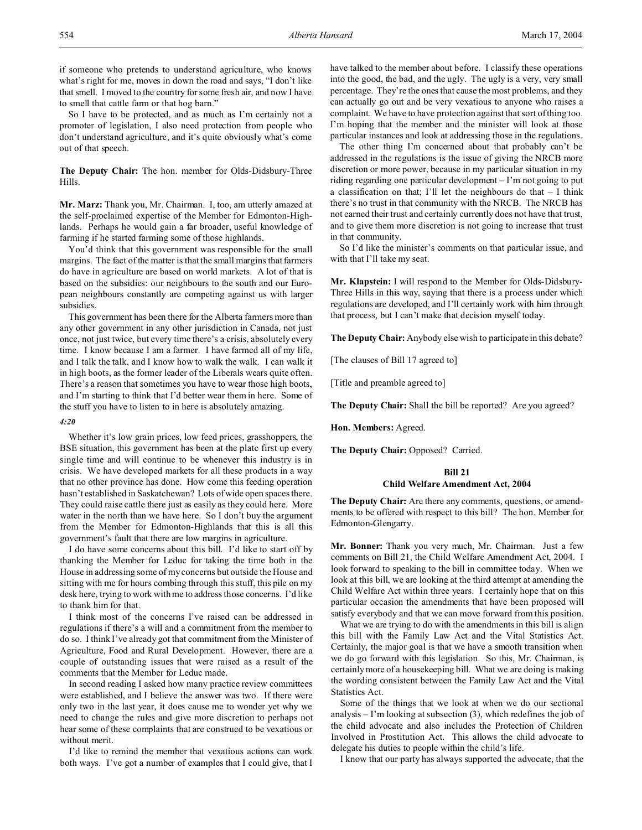if someone who pretends to understand agriculture, who knows what's right for me, moves in down the road and says, "I don't like that smell. I moved to the country for some fresh air, and now I have to smell that cattle farm or that hog barn."

So I have to be protected, and as much as I'm certainly not a promoter of legislation, I also need protection from people who don't understand agriculture, and it's quite obviously what's come out of that speech.

**The Deputy Chair:** The hon. member for Olds-Didsbury-Three Hills.

**Mr. Marz:** Thank you, Mr. Chairman. I, too, am utterly amazed at the self-proclaimed expertise of the Member for Edmonton-Highlands. Perhaps he would gain a far broader, useful knowledge of farming if he started farming some of those highlands.

You'd think that this government was responsible for the small margins. The fact of the matter is that the small margins that farmers do have in agriculture are based on world markets. A lot of that is based on the subsidies: our neighbours to the south and our European neighbours constantly are competing against us with larger subsidies.

This government has been there for the Alberta farmers more than any other government in any other jurisdiction in Canada, not just once, not just twice, but every time there's a crisis, absolutely every time. I know because I am a farmer. I have farmed all of my life, and I talk the talk, and I know how to walk the walk. I can walk it in high boots, as the former leader of the Liberals wears quite often. There's a reason that sometimes you have to wear those high boots, and I'm starting to think that I'd better wear them in here. Some of the stuff you have to listen to in here is absolutely amazing.

#### *4:20*

Whether it's low grain prices, low feed prices, grasshoppers, the BSE situation, this government has been at the plate first up every single time and will continue to be whenever this industry is in crisis. We have developed markets for all these products in a way that no other province has done. How come this feeding operation hasn't established in Saskatchewan? Lots of wide open spaces there. They could raise cattle there just as easily as they could here. More water in the north than we have here. So I don't buy the argument from the Member for Edmonton-Highlands that this is all this government's fault that there are low margins in agriculture.

I do have some concerns about this bill. I'd like to start off by thanking the Member for Leduc for taking the time both in the House in addressing some of my concerns but outside the House and sitting with me for hours combing through this stuff, this pile on my desk here, trying to work with me to address those concerns. I'd like to thank him for that.

I think most of the concerns I've raised can be addressed in regulations if there's a will and a commitment from the member to do so. I think I've already got that commitment from the Minister of Agriculture, Food and Rural Development. However, there are a couple of outstanding issues that were raised as a result of the comments that the Member for Leduc made.

In second reading I asked how many practice review committees were established, and I believe the answer was two. If there were only two in the last year, it does cause me to wonder yet why we need to change the rules and give more discretion to perhaps not hear some of these complaints that are construed to be vexatious or without merit.

I'd like to remind the member that vexatious actions can work both ways. I've got a number of examples that I could give, that I have talked to the member about before. I classify these operations into the good, the bad, and the ugly. The ugly is a very, very small percentage. They're the ones that cause the most problems, and they can actually go out and be very vexatious to anyone who raises a complaint. We have to have protection against that sort of thing too. I'm hoping that the member and the minister will look at those particular instances and look at addressing those in the regulations.

The other thing I'm concerned about that probably can't be addressed in the regulations is the issue of giving the NRCB more discretion or more power, because in my particular situation in my riding regarding one particular development – I'm not going to put a classification on that; I'll let the neighbours do that  $-$  I think there's no trust in that community with the NRCB. The NRCB has not earned their trust and certainly currently does not have that trust, and to give them more discretion is not going to increase that trust in that community.

So I'd like the minister's comments on that particular issue, and with that I'll take my seat.

**Mr. Klapstein:** I will respond to the Member for Olds-Didsbury-Three Hills in this way, saying that there is a process under which regulations are developed, and I'll certainly work with him through that process, but I can't make that decision myself today.

**The Deputy Chair:** Anybody else wish to participate in this debate?

[The clauses of Bill 17 agreed to]

[Title and preamble agreed to]

**The Deputy Chair:** Shall the bill be reported? Are you agreed?

**Hon. Members:** Agreed.

The Deputy Chair: Opposed? Carried.

#### **Bill 21**

# **Child Welfare Amendment Act, 2004**

**The Deputy Chair:** Are there any comments, questions, or amendments to be offered with respect to this bill? The hon. Member for Edmonton-Glengarry.

**Mr. Bonner:** Thank you very much, Mr. Chairman. Just a few comments on Bill 21, the Child Welfare Amendment Act, 2004. I look forward to speaking to the bill in committee today. When we look at this bill, we are looking at the third attempt at amending the Child Welfare Act within three years. I certainly hope that on this particular occasion the amendments that have been proposed will satisfy everybody and that we can move forward from this position.

What we are trying to do with the amendments in this bill is align this bill with the Family Law Act and the Vital Statistics Act. Certainly, the major goal is that we have a smooth transition when we do go forward with this legislation. So this, Mr. Chairman, is certainly more of a housekeeping bill. What we are doing is making the wording consistent between the Family Law Act and the Vital Statistics Act.

Some of the things that we look at when we do our sectional analysis – I'm looking at subsection (3), which redefines the job of the child advocate and also includes the Protection of Children Involved in Prostitution Act. This allows the child advocate to delegate his duties to people within the child's life.

I know that our party has always supported the advocate, that the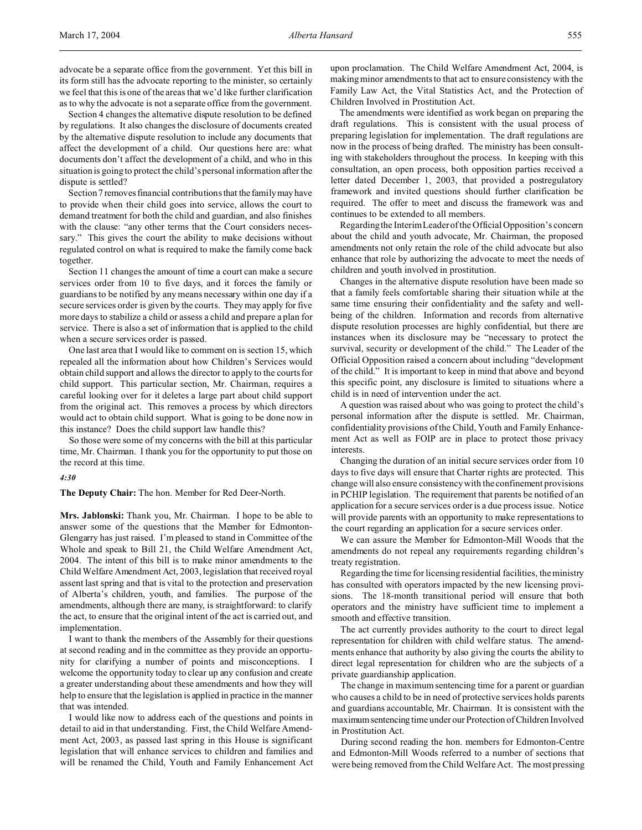Section 4 changes the alternative dispute resolution to be defined by regulations. It also changes the disclosure of documents created by the alternative dispute resolution to include any documents that affect the development of a child. Our questions here are: what documents don't affect the development of a child, and who in this situation is going to protect the child's personal information after the dispute is settled?

Section 7 removes financial contributions that the familymay have to provide when their child goes into service, allows the court to demand treatment for both the child and guardian, and also finishes with the clause: "any other terms that the Court considers necessary." This gives the court the ability to make decisions without regulated control on what is required to make the family come back together.

Section 11 changes the amount of time a court can make a secure services order from 10 to five days, and it forces the family or guardians to be notified by any means necessary within one day if a secure services order is given by the courts. They may apply for five more days to stabilize a child or assess a child and prepare a plan for service. There is also a set of information that is applied to the child when a secure services order is passed.

One last area that I would like to comment on is section 15, which repealed all the information about how Children's Services would obtain child support and allows the director to apply to the courts for child support. This particular section, Mr. Chairman, requires a careful looking over for it deletes a large part about child support from the original act. This removes a process by which directors would act to obtain child support. What is going to be done now in this instance? Does the child support law handle this?

So those were some of my concerns with the bill at this particular time, Mr. Chairman. I thank you for the opportunity to put those on the record at this time.

#### *4:30*

**The Deputy Chair:** The hon. Member for Red Deer-North.

**Mrs. Jablonski:** Thank you, Mr. Chairman. I hope to be able to answer some of the questions that the Member for Edmonton-Glengarry has just raised. I'm pleased to stand in Committee of the Whole and speak to Bill 21, the Child Welfare Amendment Act, 2004. The intent of this bill is to make minor amendments to the Child Welfare Amendment Act, 2003, legislation that received royal assent last spring and that is vital to the protection and preservation of Alberta's children, youth, and families. The purpose of the amendments, although there are many, is straightforward: to clarify the act, to ensure that the original intent of the act is carried out, and implementation.

I want to thank the members of the Assembly for their questions at second reading and in the committee as they provide an opportunity for clarifying a number of points and misconceptions. I welcome the opportunity today to clear up any confusion and create a greater understanding about these amendments and how they will help to ensure that the legislation is applied in practice in the manner that was intended.

I would like now to address each of the questions and points in detail to aid in that understanding. First, the Child Welfare Amendment Act, 2003, as passed last spring in this House is significant legislation that will enhance services to children and families and will be renamed the Child, Youth and Family Enhancement Act upon proclamation. The Child Welfare Amendment Act, 2004, is making minor amendments to that act to ensure consistency with the Family Law Act, the Vital Statistics Act, and the Protection of Children Involved in Prostitution Act.

The amendments were identified as work began on preparing the draft regulations. This is consistent with the usual process of preparing legislation for implementation. The draft regulations are now in the process of being drafted. The ministry has been consulting with stakeholders throughout the process. In keeping with this consultation, an open process, both opposition parties received a letter dated December 1, 2003, that provided a postregulatory framework and invited questions should further clarification be required. The offer to meet and discuss the framework was and continues to be extended to all members.

Regarding the Interim Leader of the Official Opposition's concern about the child and youth advocate, Mr. Chairman, the proposed amendments not only retain the role of the child advocate but also enhance that role by authorizing the advocate to meet the needs of children and youth involved in prostitution.

Changes in the alternative dispute resolution have been made so that a family feels comfortable sharing their situation while at the same time ensuring their confidentiality and the safety and wellbeing of the children. Information and records from alternative dispute resolution processes are highly confidential, but there are instances when its disclosure may be "necessary to protect the survival, security or development of the child." The Leader of the Official Opposition raised a concern about including "development of the child." It is important to keep in mind that above and beyond this specific point, any disclosure is limited to situations where a child is in need of intervention under the act.

A question was raised about who was going to protect the child's personal information after the dispute is settled. Mr. Chairman, confidentiality provisions of the Child, Youth and Family Enhancement Act as well as FOIP are in place to protect those privacy interests.

Changing the duration of an initial secure services order from 10 days to five days will ensure that Charter rights are protected. This change will also ensure consistency with the confinement provisions in PCHIP legislation. The requirement that parents be notified of an application for a secure services order is a due process issue. Notice will provide parents with an opportunity to make representations to the court regarding an application for a secure services order.

We can assure the Member for Edmonton-Mill Woods that the amendments do not repeal any requirements regarding children's treaty registration.

Regarding the time for licensing residential facilities, the ministry has consulted with operators impacted by the new licensing provisions. The 18-month transitional period will ensure that both operators and the ministry have sufficient time to implement a smooth and effective transition.

The act currently provides authority to the court to direct legal representation for children with child welfare status. The amendments enhance that authority by also giving the courts the ability to direct legal representation for children who are the subjects of a private guardianship application.

The change in maximum sentencing time for a parent or guardian who causes a child to be in need of protective services holds parents and guardians accountable, Mr. Chairman. It is consistent with the maximumsentencing time under our Protection of Children Involved in Prostitution Act.

During second reading the hon. members for Edmonton-Centre and Edmonton-Mill Woods referred to a number of sections that were being removed from the Child Welfare Act. The most pressing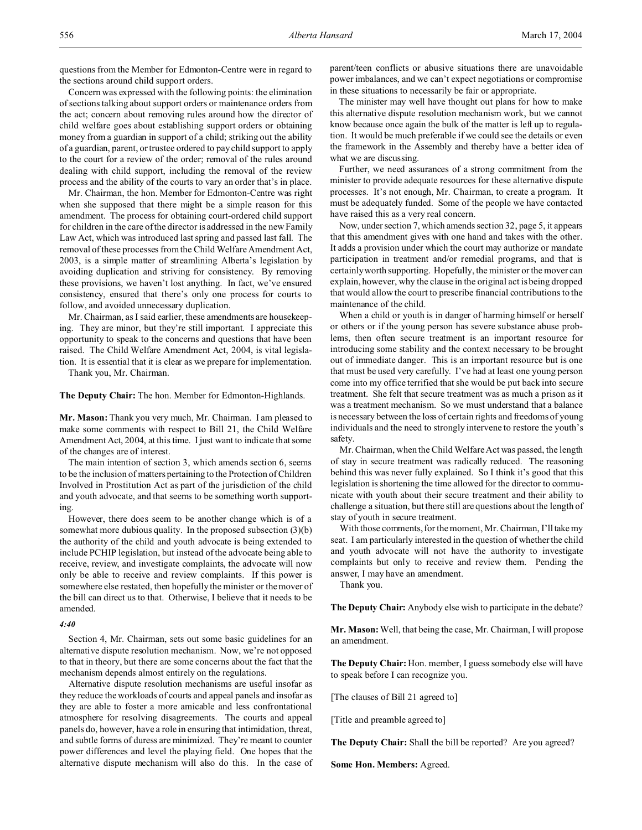questions from the Member for Edmonton-Centre were in regard to the sections around child support orders.

Concern was expressed with the following points: the elimination of sections talking about support orders or maintenance orders from the act; concern about removing rules around how the director of child welfare goes about establishing support orders or obtaining money from a guardian in support of a child; striking out the ability of a guardian, parent, or trustee ordered to pay child support to apply to the court for a review of the order; removal of the rules around dealing with child support, including the removal of the review process and the ability of the courts to vary an order that's in place.

Mr. Chairman, the hon. Member for Edmonton-Centre was right when she supposed that there might be a simple reason for this amendment. The process for obtaining court-ordered child support for children in the care of the director is addressed in the new Family Law Act, which was introduced last spring and passed last fall. The removal of these processes from the Child Welfare Amendment Act, 2003, is a simple matter of streamlining Alberta's legislation by avoiding duplication and striving for consistency. By removing these provisions, we haven't lost anything. In fact, we've ensured consistency, ensured that there's only one process for courts to follow, and avoided unnecessary duplication.

Mr. Chairman, as I said earlier, these amendments are housekeeping. They are minor, but they're still important. I appreciate this opportunity to speak to the concerns and questions that have been raised. The Child Welfare Amendment Act, 2004, is vital legislation. It is essential that it is clear as we prepare for implementation.

Thank you, Mr. Chairman.

**The Deputy Chair:** The hon. Member for Edmonton-Highlands.

**Mr. Mason:** Thank you very much, Mr. Chairman. I am pleased to make some comments with respect to Bill 21, the Child Welfare Amendment Act, 2004, at this time. I just want to indicate that some of the changes are of interest.

The main intention of section 3, which amends section 6, seems to be the inclusion of matters pertaining to the Protection of Children Involved in Prostitution Act as part of the jurisdiction of the child and youth advocate, and that seems to be something worth supporting.

However, there does seem to be another change which is of a somewhat more dubious quality. In the proposed subsection (3)(b) the authority of the child and youth advocate is being extended to include PCHIP legislation, but instead of the advocate being able to receive, review, and investigate complaints, the advocate will now only be able to receive and review complaints. If this power is somewhere else restated, then hopefully the minister or the mover of the bill can direct us to that. Otherwise, I believe that it needs to be amended.

#### *4:40*

Section 4, Mr. Chairman, sets out some basic guidelines for an alternative dispute resolution mechanism. Now, we're not opposed to that in theory, but there are some concerns about the fact that the mechanism depends almost entirely on the regulations.

Alternative dispute resolution mechanisms are useful insofar as they reduce the workloads of courts and appeal panels and insofar as they are able to foster a more amicable and less confrontational atmosphere for resolving disagreements. The courts and appeal panels do, however, have a role in ensuring that intimidation, threat, and subtle forms of duress are minimized. They're meant to counter power differences and level the playing field. One hopes that the alternative dispute mechanism will also do this. In the case of parent/teen conflicts or abusive situations there are unavoidable power imbalances, and we can't expect negotiations or compromise in these situations to necessarily be fair or appropriate.

The minister may well have thought out plans for how to make this alternative dispute resolution mechanism work, but we cannot know because once again the bulk of the matter is left up to regulation. It would be much preferable if we could see the details or even the framework in the Assembly and thereby have a better idea of what we are discussing.

Further, we need assurances of a strong commitment from the minister to provide adequate resources for these alternative dispute processes. It's not enough, Mr. Chairman, to create a program. It must be adequately funded. Some of the people we have contacted have raised this as a very real concern.

Now, under section 7, which amends section 32, page 5, it appears that this amendment gives with one hand and takes with the other. It adds a provision under which the court may authorize or mandate participation in treatment and/or remedial programs, and that is certainly worth supporting. Hopefully, the minister or the mover can explain, however, why the clause in the original act is being dropped that would allow the court to prescribe financial contributions to the maintenance of the child.

When a child or youth is in danger of harming himself or herself or others or if the young person has severe substance abuse problems, then often secure treatment is an important resource for introducing some stability and the context necessary to be brought out of immediate danger. This is an important resource but is one that must be used very carefully. I've had at least one young person come into my office terrified that she would be put back into secure treatment. She felt that secure treatment was as much a prison as it was a treatment mechanism. So we must understand that a balance is necessary between the loss of certain rights and freedoms of young individuals and the need to strongly intervene to restore the youth's safety.

Mr. Chairman, when the Child Welfare Act was passed, the length of stay in secure treatment was radically reduced. The reasoning behind this was never fully explained. So I think it's good that this legislation is shortening the time allowed for the director to communicate with youth about their secure treatment and their ability to challenge a situation, but there still are questions about the length of stay of youth in secure treatment.

With those comments, for the moment, Mr. Chairman, I'll take my seat. I am particularly interested in the question of whether the child and youth advocate will not have the authority to investigate complaints but only to receive and review them. Pending the answer, I may have an amendment.

Thank you.

**The Deputy Chair:** Anybody else wish to participate in the debate?

**Mr. Mason:** Well, that being the case, Mr. Chairman, I will propose an amendment.

**The Deputy Chair:** Hon. member, I guess somebody else will have to speak before I can recognize you.

[The clauses of Bill 21 agreed to]

[Title and preamble agreed to]

**The Deputy Chair:** Shall the bill be reported? Are you agreed?

**Some Hon. Members:** Agreed.